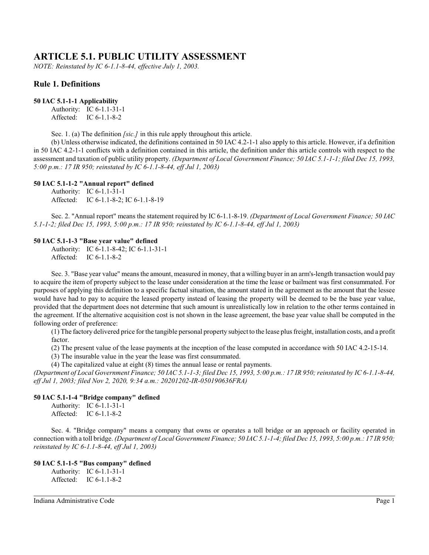# **ARTICLE 5.1. PUBLIC UTILITY ASSESSMENT**

*NOTE: Reinstated by IC 6-1.1-8-44, effective July 1, 2003.*

# **Rule 1. Definitions**

#### **50 IAC 5.1-1-1 Applicability**

Authority: IC 6-1.1-31-1 Affected: IC 6-1.1-8-2

Sec. 1. (a) The definition *[sic.]* in this rule apply throughout this article.

(b) Unless otherwise indicated, the definitions contained in 50 IAC 4.2-1-1 also apply to this article. However, if a definition in 50 IAC 4.2-1-1 conflicts with a definition contained in this article, the definition under this article controls with respect to the assessment and taxation of public utility property. *(Department of Local Government Finance; 50 IAC 5.1-1-1; filed Dec 15, 1993, 5:00 p.m.: 17 IR 950; reinstated by IC 6-1.1-8-44, eff Jul 1, 2003)*

### **50 IAC 5.1-1-2 "Annual report" defined**

Authority: IC 6-1.1-31-1 Affected: IC 6-1.1-8-2; IC 6-1.1-8-19

Sec. 2. "Annual report" means the statement required by IC 6-1.1-8-19. *(Department of Local Government Finance; 50 IAC 5.1-1-2; filed Dec 15, 1993, 5:00 p.m.: 17 IR 950; reinstated by IC 6-1.1-8-44, eff Jul 1, 2003)*

#### **50 IAC 5.1-1-3 "Base year value" defined**

Authority: IC 6-1.1-8-42; IC 6-1.1-31-1 Affected: IC 6-1.1-8-2

Sec. 3. "Base year value" means the amount, measured in money, that a willing buyer in an arm's-length transaction would pay to acquire the item of property subject to the lease under consideration at the time the lease or bailment was first consummated. For purposes of applying this definition to a specific factual situation, the amount stated in the agreement as the amount that the lessee would have had to pay to acquire the leased property instead of leasing the property will be deemed to be the base year value, provided that the department does not determine that such amount is unrealistically low in relation to the other terms contained in the agreement. If the alternative acquisition cost is not shown in the lease agreement, the base year value shall be computed in the following order of preference:

(1) The factory delivered price for the tangible personal property subject to the lease plus freight, installation costs, and a profit factor.

(2) The present value of the lease payments at the inception of the lease computed in accordance with 50 IAC 4.2-15-14.

(3) The insurable value in the year the lease was first consummated.

(4) The capitalized value at eight (8) times the annual lease or rental payments.

*(Department of Local Government Finance; 50 IAC 5.1-1-3; filed Dec 15, 1993, 5:00 p.m.: 17 IR 950; reinstated by IC 6-1.1-8-44, eff Jul 1, 2003; filed Nov 2, 2020, 9:34 a.m.: 20201202-IR-050190636FRA)*

### **50 IAC 5.1-1-4 "Bridge company" defined**

Authority: IC 6-1.1-31-1 Affected: IC 6-1.1-8-2

Sec. 4. "Bridge company" means a company that owns or operates a toll bridge or an approach or facility operated in connection with a toll bridge. *(Department of Local Government Finance; 50 IAC 5.1-1-4; filed Dec 15, 1993, 5:00 p.m.: 17 IR 950; reinstated by IC 6-1.1-8-44, eff Jul 1, 2003)*

## **50 IAC 5.1-1-5 "Bus company" defined**

Authority: IC 6-1.1-31-1 Affected: IC 6-1.1-8-2

Indiana Administrative Code Page 1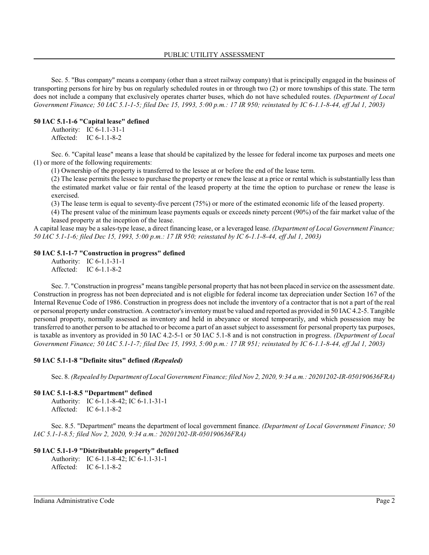Sec. 5. "Bus company" means a company (other than a street railway company) that is principally engaged in the business of transporting persons for hire by bus on regularly scheduled routes in or through two (2) or more townships of this state. The term does not include a company that exclusively operates charter buses, which do not have scheduled routes. *(Department of Local Government Finance; 50 IAC 5.1-1-5; filed Dec 15, 1993, 5:00 p.m.: 17 IR 950; reinstated by IC 6-1.1-8-44, eff Jul 1, 2003)*

# **50 IAC 5.1-1-6 "Capital lease" defined**

Authority: IC 6-1.1-31-1 Affected: IC 6-1.1-8-2

Sec. 6. "Capital lease" means a lease that should be capitalized by the lessee for federal income tax purposes and meets one (1) or more of the following requirements:

(1) Ownership of the property is transferred to the lessee at or before the end of the lease term.

(2) The lease permits the lessee to purchase the property or renew the lease at a price or rental which is substantially less than the estimated market value or fair rental of the leased property at the time the option to purchase or renew the lease is exercised.

(3) The lease term is equal to seventy-five percent (75%) or more of the estimated economic life of the leased property.

(4) The present value of the minimum lease payments equals or exceeds ninety percent (90%) of the fair market value of the leased property at the inception of the lease.

A capital lease may be a sales-type lease, a direct financing lease, or a leveraged lease. *(Department of Local Government Finance; 50 IAC 5.1-1-6; filed Dec 15, 1993, 5:00 p.m.: 17 IR 950; reinstated by IC 6-1.1-8-44, eff Jul 1, 2003)*

## **50 IAC 5.1-1-7 "Construction in progress" defined**

Authority: IC 6-1.1-31-1 Affected: IC 6-1.1-8-2

Sec. 7. "Construction in progress" means tangible personal property that has not been placed in service on the assessment date. Construction in progress has not been depreciated and is not eligible for federal income tax depreciation under Section 167 of the Internal Revenue Code of 1986. Construction in progress does not include the inventory of a contractor that is not a part of the real or personal property under construction. A contractor'sinventory must be valued and reported as provided in 50 IAC 4.2-5. Tangible personal property, normally assessed as inventory and held in abeyance or stored temporarily, and which possession may be transferred to another person to be attached to or become a part of an asset subject to assessment for personal property tax purposes, is taxable as inventory as provided in 50 IAC 4.2-5-1 or 50 IAC 5.1-8 and is not construction in progress. *(Department of Local Government Finance; 50 IAC 5.1-1-7; filed Dec 15, 1993, 5:00 p.m.: 17 IR 951; reinstated by IC 6-1.1-8-44, eff Jul 1, 2003)*

### **50 IAC 5.1-1-8 "Definite situs" defined** *(Repealed)*

Sec. 8. *(Repealed by Department of Local Government Finance; filed Nov 2, 2020, 9:34 a.m.: 20201202-IR-050190636FRA)*

### **50 IAC 5.1-1-8.5 "Department" defined**

Authority: IC 6-1.1-8-42; IC 6-1.1-31-1 Affected: IC 6-1.1-8-2

Sec. 8.5. "Department" means the department of local government finance. *(Department of Local Government Finance; 50 IAC 5.1-1-8.5; filed Nov 2, 2020, 9:34 a.m.: 20201202-IR-050190636FRA)*

# **50 IAC 5.1-1-9 "Distributable property" defined**

Authority: IC 6-1.1-8-42; IC 6-1.1-31-1 Affected: IC 6-1.1-8-2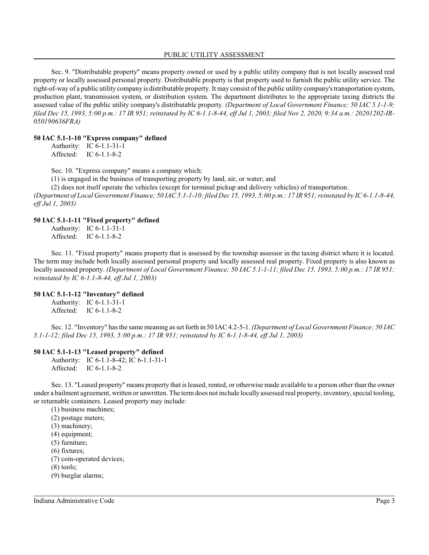#### PUBLIC UTILITY ASSESSMENT

Sec. 9. "Distributable property" means property owned or used by a public utility company that is not locally assessed real property or locally assessed personal property. Distributable property is that property used to furnish the public utility service. The right-of-way of a public utility company is distributable property. It may consist of the public utility company's transportation system, production plant, transmission system, or distribution system. The department distributes to the appropriate taxing districts the assessed value of the public utility company's distributable property. *(Department of Local Government Finance; 50 IAC 5.1-1-9; filed Dec 15, 1993, 5:00 p.m.: 17 IR 951; reinstated by IC 6-1.1-8-44, eff Jul 1, 2003; filed Nov 2, 2020, 9:34 a.m.: 20201202-IR-050190636FRA)*

### **50 IAC 5.1-1-10 "Express company" defined**

| Authority: | IC $6-1.1-31-1$ |
|------------|-----------------|
| Affected:  | IC $6-1.1-8-2$  |

Sec. 10. "Express company" means a company which:

(1) is engaged in the business of transporting property by land, air, or water; and

(2) does not itself operate the vehicles (except for terminal pickup and delivery vehicles) of transportation.

*(Department of Local Government Finance; 50 IAC 5.1-1-10; filed Dec 15, 1993, 5:00 p.m.: 17 IR 951; reinstated by IC 6-1.1-8-44, eff Jul 1, 2003)*

### **50 IAC 5.1-1-11 "Fixed property" defined**

Authority: IC 6-1.1-31-1 Affected: IC 6-1.1-8-2

Sec. 11. "Fixed property" means property that is assessed by the township assessor in the taxing district where it is located. The term may include both locally assessed personal property and locally assessed real property. Fixed property is also known as locally assessed property. *(Department of Local Government Finance; 50 IAC 5.1-1-11; filed Dec 15, 1993, 5:00 p.m.: 17 IR 951; reinstated by IC 6-1.1-8-44, eff Jul 1, 2003)*

# **50 IAC 5.1-1-12 "Inventory" defined**

Authority: IC 6-1.1-31-1 Affected: IC 6-1.1-8-2

Sec. 12. "Inventory" has the same meaning as set forth in 50 IAC4.2-5-1. *(Department of Local Government Finance; 50 IAC 5.1-1-12; filed Dec 15, 1993, 5:00 p.m.: 17 IR 951; reinstated by IC 6-1.1-8-44, eff Jul 1, 2003)*

### **50 IAC 5.1-1-13 "Leased property" defined**

Authority: IC 6-1.1-8-42; IC 6-1.1-31-1 Affected: IC 6-1.1-8-2

Sec. 13. "Leased property" means property that is leased, rented, or otherwise made available to a person other than the owner under a bailment agreement, written or unwritten. The termdoes not include locally assessed real property, inventory, special tooling, or returnable containers. Leased property may include:

- (1) business machines;
- (2) postage meters;
- (3) machinery;
- (4) equipment;
- (5) furniture;
- (6) fixtures;
- (7) coin-operated devices;
- (8) tools;
- (9) burglar alarms;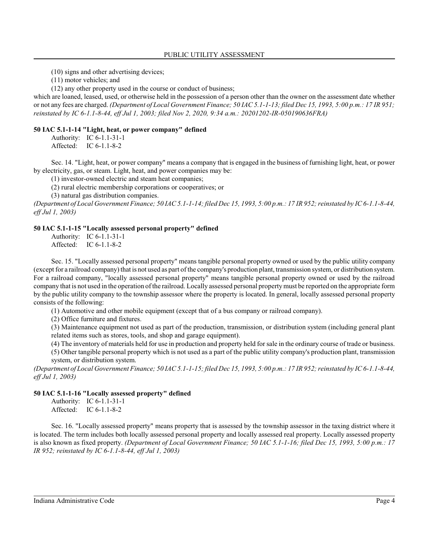(10) signs and other advertising devices;

(11) motor vehicles; and

(12) any other property used in the course or conduct of business;

which are loaned, leased, used, or otherwise held in the possession of a person other than the owner on the assessment date whether or not any fees are charged. *(Department of Local Government Finance; 50 IAC 5.1-1-13; filed Dec 15, 1993, 5:00 p.m.: 17 IR 951; reinstated by IC 6-1.1-8-44, eff Jul 1, 2003; filed Nov 2, 2020, 9:34 a.m.: 20201202-IR-050190636FRA)*

### **50 IAC 5.1-1-14 "Light, heat, or power company" defined**

Authority: IC 6-1.1-31-1 Affected: IC 6-1.1-8-2

Sec. 14. "Light, heat, or power company" means a company that is engaged in the business of furnishing light, heat, or power by electricity, gas, or steam. Light, heat, and power companies may be:

(1) investor-owned electric and steam heat companies;

(2) rural electric membership corporations or cooperatives; or

(3) natural gas distribution companies.

*(Department of Local Government Finance; 50 IAC 5.1-1-14; filed Dec 15, 1993, 5:00 p.m.: 17 IR 952; reinstated by IC 6-1.1-8-44, eff Jul 1, 2003)*

### **50 IAC 5.1-1-15 "Locally assessed personal property" defined**

Authority: IC 6-1.1-31-1 Affected: IC 6-1.1-8-2

Sec. 15. "Locally assessed personal property" means tangible personal property owned or used by the public utility company (except for a railroad company) that is not used as part of the company's production plant, transmission system, or distribution system. For a railroad company, "locally assessed personal property" means tangible personal property owned or used by the railroad company that is not used in the operation of the railroad. Locally assessed personal property must be reported on the appropriate form by the public utility company to the township assessor where the property is located. In general, locally assessed personal property consists of the following:

(1) Automotive and other mobile equipment (except that of a bus company or railroad company).

(2) Office furniture and fixtures.

(3) Maintenance equipment not used as part of the production, transmission, or distribution system (including general plant related items such as stores, tools, and shop and garage equipment).

(4) The inventory of materials held for use in production and property held for sale in the ordinary course of trade or business.

(5) Other tangible personal property which is not used as a part of the public utility company's production plant, transmission system, or distribution system.

*(Department of Local Government Finance; 50 IAC 5.1-1-15; filed Dec 15, 1993, 5:00 p.m.: 17 IR 952; reinstated by IC 6-1.1-8-44, eff Jul 1, 2003)*

### **50 IAC 5.1-1-16 "Locally assessed property" defined**

Authority: IC 6-1.1-31-1 Affected: IC 6-1.1-8-2

Sec. 16. "Locally assessed property" means property that is assessed by the township assessor in the taxing district where it is located. The term includes both locally assessed personal property and locally assessed real property. Locally assessed property is also known as fixed property. *(Department of Local Government Finance; 50 IAC 5.1-1-16; filed Dec 15, 1993, 5:00 p.m.: 17 IR 952; reinstated by IC 6-1.1-8-44, eff Jul 1, 2003)*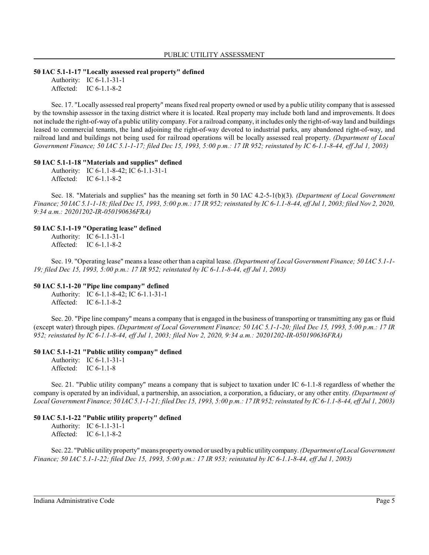#### **50 IAC 5.1-1-17 "Locally assessed real property" defined**

Authority: IC 6-1.1-31-1 Affected: IC 6-1.1-8-2

Sec. 17. "Locally assessed real property" means fixed real property owned or used by a public utility company that is assessed by the township assessor in the taxing district where it is located. Real property may include both land and improvements. It does not include the right-of-way of a public utility company. For a railroad company, it includes only the right-of-way land and buildings leased to commercial tenants, the land adjoining the right-of-way devoted to industrial parks, any abandoned right-of-way, and railroad land and buildings not being used for railroad operations will be locally assessed real property. *(Department of Local Government Finance; 50 IAC 5.1-1-17; filed Dec 15, 1993, 5:00 p.m.: 17 IR 952; reinstated by IC 6-1.1-8-44, eff Jul 1, 2003)*

#### **50 IAC 5.1-1-18 "Materials and supplies" defined**

Authority: IC 6-1.1-8-42; IC 6-1.1-31-1 Affected: IC 6-1.1-8-2

Sec. 18. "Materials and supplies" has the meaning set forth in 50 IAC 4.2-5-1(b)(3). *(Department of Local Government Finance; 50 IAC 5.1-1-18; filed Dec 15, 1993, 5:00 p.m.: 17 IR 952; reinstated by IC 6-1.1-8-44, eff Jul 1, 2003; filed Nov 2, 2020, 9:34 a.m.: 20201202-IR-050190636FRA)*

#### **50 IAC 5.1-1-19 "Operating lease" defined**

Authority: IC 6-1.1-31-1 Affected: IC 6-1.1-8-2

Sec. 19. "Operating lease" means a lease other than a capital lease. *(Department of Local Government Finance; 50 IAC 5.1-1- 19; filed Dec 15, 1993, 5:00 p.m.: 17 IR 952; reinstated by IC 6-1.1-8-44, eff Jul 1, 2003)*

### **50 IAC 5.1-1-20 "Pipe line company" defined**

Authority: IC 6-1.1-8-42; IC 6-1.1-31-1 Affected: IC 6-1.1-8-2

Sec. 20. "Pipe line company" means a company that is engaged in the business of transporting or transmitting any gas or fluid (except water) through pipes. *(Department of Local Government Finance; 50 IAC 5.1-1-20; filed Dec 15, 1993, 5:00 p.m.: 17 IR 952; reinstated by IC 6-1.1-8-44, eff Jul 1, 2003; filed Nov 2, 2020, 9:34 a.m.: 20201202-IR-050190636FRA)*

#### **50 IAC 5.1-1-21 "Public utility company" defined**

Authority: IC 6-1.1-31-1 Affected: IC 6-1.1-8

Sec. 21. "Public utility company" means a company that is subject to taxation under IC 6-1.1-8 regardless of whether the company is operated by an individual, a partnership, an association, a corporation, a fiduciary, or any other entity. *(Department of Local Government Finance; 50 IAC 5.1-1-21; filed Dec 15, 1993, 5:00 p.m.: 17 IR 952; reinstated by IC 6-1.1-8-44, eff Jul 1, 2003)* 

### **50 IAC 5.1-1-22 "Public utility property" defined**

Authority: IC 6-1.1-31-1 Affected: IC 6-1.1-8-2

Sec. 22. "Public utility property"means property owned or used by a public utilitycompany. *(Department of Local Government Finance; 50 IAC 5.1-1-22; filed Dec 15, 1993, 5:00 p.m.: 17 IR 953; reinstated by IC 6-1.1-8-44, eff Jul 1, 2003)*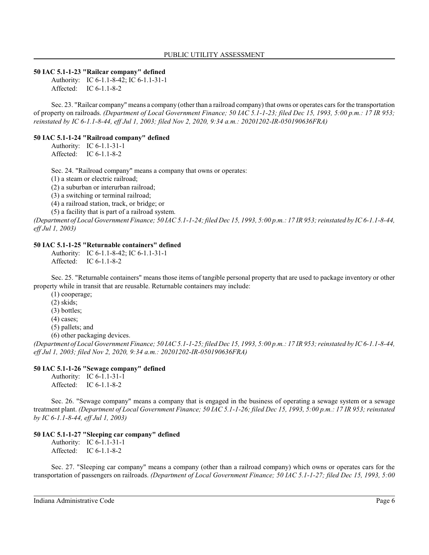#### **50 IAC 5.1-1-23 "Railcar company" defined**

Authority: IC 6-1.1-8-42; IC 6-1.1-31-1 Affected: IC 6-1.1-8-2

Sec. 23. "Railcar company" means a company (other than a railroad company) that owns or operates cars for the transportation of property on railroads. *(Department of Local Government Finance; 50 IAC 5.1-1-23; filed Dec 15, 1993, 5:00 p.m.: 17 IR 953; reinstated by IC 6-1.1-8-44, eff Jul 1, 2003; filed Nov 2, 2020, 9:34 a.m.: 20201202-IR-050190636FRA)*

### **50 IAC 5.1-1-24 "Railroad company" defined**

Authority: IC 6-1.1-31-1 Affected: IC 6-1.1-8-2

Sec. 24. "Railroad company" means a company that owns or operates:

(1) a steam or electric railroad;

(2) a suburban or interurban railroad;

(3) a switching or terminal railroad;

(4) a railroad station, track, or bridge; or

(5) a facility that is part of a railroad system.

*(Department of Local Government Finance; 50 IAC 5.1-1-24; filed Dec 15, 1993, 5:00 p.m.: 17 IR 953; reinstated by IC 6-1.1-8-44, eff Jul 1, 2003)*

### **50 IAC 5.1-1-25 "Returnable containers" defined**

Authority: IC 6-1.1-8-42; IC 6-1.1-31-1 Affected: IC 6-1.1-8-2

Sec. 25. "Returnable containers" means those items of tangible personal property that are used to package inventory or other property while in transit that are reusable. Returnable containers may include:

(1) cooperage;

(2) skids;

(3) bottles;

(4) cases;

(5) pallets; and

(6) other packaging devices.

*(Department of Local Government Finance; 50 IAC 5.1-1-25; filed Dec 15, 1993, 5:00 p.m.: 17 IR 953;reinstated by IC 6-1.1-8-44, eff Jul 1, 2003; filed Nov 2, 2020, 9:34 a.m.: 20201202-IR-050190636FRA)*

### **50 IAC 5.1-1-26 "Sewage company" defined**

Authority: IC 6-1.1-31-1 Affected: IC 6-1.1-8-2

Sec. 26. "Sewage company" means a company that is engaged in the business of operating a sewage system or a sewage treatment plant. *(Department of Local Government Finance; 50 IAC 5.1-1-26; filed Dec 15, 1993, 5:00 p.m.: 17 IR 953; reinstated by IC 6-1.1-8-44, eff Jul 1, 2003)*

### **50 IAC 5.1-1-27 "Sleeping car company" defined**

Authority: IC 6-1.1-31-1 Affected: IC 6-1.1-8-2

Sec. 27. "Sleeping car company" means a company (other than a railroad company) which owns or operates cars for the transportation of passengers on railroads. *(Department of Local Government Finance; 50 IAC 5.1-1-27; filed Dec 15, 1993, 5:00*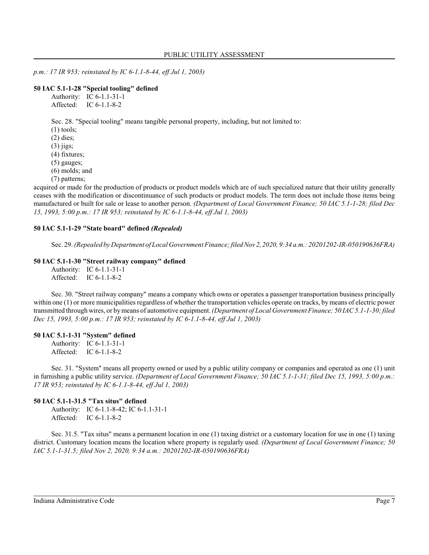*p.m.: 17 IR 953; reinstated by IC 6-1.1-8-44, eff Jul 1, 2003)*

#### **50 IAC 5.1-1-28 "Special tooling" defined**

Authority: IC 6-1.1-31-1 Affected: IC 6-1.1-8-2

Sec. 28. "Special tooling" means tangible personal property, including, but not limited to:

- (1) tools;
- (2) dies;
- (3) jigs;
- (4) fixtures;
- (5) gauges;
- (6) molds; and
- (7) patterns;

acquired or made for the production of products or product models which are of such specialized nature that their utility generally ceases with the modification or discontinuance of such products or product models. The term does not include those items being manufactured or built for sale or lease to another person. *(Department of Local Government Finance; 50 IAC 5.1-1-28; filed Dec 15, 1993, 5:00 p.m.: 17 IR 953; reinstated by IC 6-1.1-8-44, eff Jul 1, 2003)*

#### **50 IAC 5.1-1-29 "State board" defined** *(Repealed)*

Sec. 29. *(Repealed by Department of Local Government Finance;filed Nov 2, 2020, 9:34 a.m.: 20201202-IR-050190636FRA)*

#### **50 IAC 5.1-1-30 "Street railway company" defined**

Authority: IC 6-1.1-31-1 Affected: IC 6-1.1-8-2

Sec. 30. "Street railway company" means a company which owns or operates a passenger transportation business principally within one (1) or more municipalities regardless of whether the transportation vehicles operate on tracks, by means of electric power transmitted throughwires, or bymeans of automotive equipment. *(Department of Local Government Finance; 50 IAC 5.1-1-30; filed Dec 15, 1993, 5:00 p.m.: 17 IR 953; reinstated by IC 6-1.1-8-44, eff Jul 1, 2003)*

# **50 IAC 5.1-1-31 "System" defined**

Authority: IC 6-1.1-31-1 Affected: IC 6-1.1-8-2

Sec. 31. "System" means all property owned or used by a public utility company or companies and operated as one (1) unit in furnishing a public utility service. *(Department of Local Government Finance; 50 IAC 5.1-1-31; filed Dec 15, 1993, 5:00 p.m.: 17 IR 953; reinstated by IC 6-1.1-8-44, eff Jul 1, 2003)*

#### **50 IAC 5.1-1-31.5 "Tax situs" defined**

Authority: IC 6-1.1-8-42; IC 6-1.1-31-1 Affected: IC 6-1.1-8-2

Sec. 31.5. "Tax situs" means a permanent location in one (1) taxing district or a customary location for use in one (1) taxing district. Customary location means the location where property is regularly used. *(Department of Local Government Finance; 50 IAC 5.1-1-31.5; filed Nov 2, 2020, 9:34 a.m.: 20201202-IR-050190636FRA)*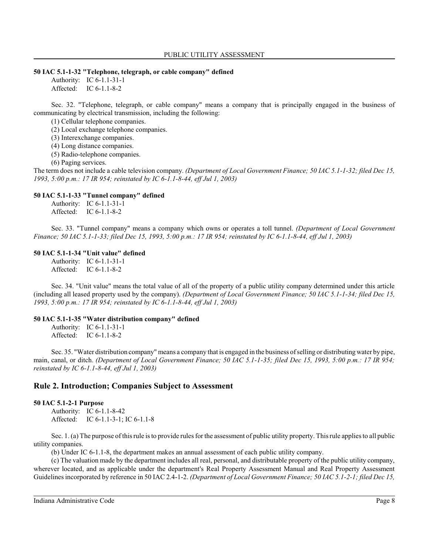#### **50 IAC 5.1-1-32 "Telephone, telegraph, or cable company" defined**

Authority: IC 6-1.1-31-1 Affected: IC 6-1.1-8-2

Sec. 32. "Telephone, telegraph, or cable company" means a company that is principally engaged in the business of communicating by electrical transmission, including the following:

(1) Cellular telephone companies.

(2) Local exchange telephone companies.

(3) Interexchange companies.

(4) Long distance companies.

(5) Radio-telephone companies.

(6) Paging services.

The term does not include a cable television company. *(Department of Local Government Finance; 50 IAC 5.1-1-32; filed Dec 15, 1993, 5:00 p.m.: 17 IR 954; reinstated by IC 6-1.1-8-44, eff Jul 1, 2003)*

#### **50 IAC 5.1-1-33 "Tunnel company" defined**

Authority: IC 6-1.1-31-1 Affected: IC 6-1.1-8-2

Sec. 33. "Tunnel company" means a company which owns or operates a toll tunnel. *(Department of Local Government Finance; 50 IAC 5.1-1-33; filed Dec 15, 1993, 5:00 p.m.: 17 IR 954; reinstated by IC 6-1.1-8-44, eff Jul 1, 2003)*

#### **50 IAC 5.1-1-34 "Unit value" defined**

Authority: IC 6-1.1-31-1 Affected: IC 6-1.1-8-2

Sec. 34. "Unit value" means the total value of all of the property of a public utility company determined under this article (including all leased property used by the company). *(Department of Local Government Finance; 50 IAC 5.1-1-34; filed Dec 15, 1993, 5:00 p.m.: 17 IR 954; reinstated by IC 6-1.1-8-44, eff Jul 1, 2003)*

#### **50 IAC 5.1-1-35 "Water distribution company" defined**

Authority: IC 6-1.1-31-1 Affected: IC 6-1.1-8-2

Sec. 35. "Water distribution company" means a company that is engaged in the business of selling or distributing water by pipe, main, canal, or ditch. *(Department of Local Government Finance; 50 IAC 5.1-1-35; filed Dec 15, 1993, 5:00 p.m.: 17 IR 954; reinstated by IC 6-1.1-8-44, eff Jul 1, 2003)*

### **Rule 2. Introduction; Companies Subject to Assessment**

#### **50 IAC 5.1-2-1 Purpose**

Authority: IC 6-1.1-8-42 Affected: IC 6-1.1-3-1; IC 6-1.1-8

Sec. 1. (a) The purpose of thisrule is to provide rules for the assessment of public utility property. Thisrule applies to all public utility companies.

(b) Under IC 6-1.1-8, the department makes an annual assessment of each public utility company.

(c) The valuation made by the department includes all real, personal, and distributable property of the public utility company, wherever located, and as applicable under the department's Real Property Assessment Manual and Real Property Assessment Guidelines incorporated by reference in 50 IAC 2.4-1-2. *(Department of Local Government Finance; 50 IAC 5.1-2-1; filed Dec 15,*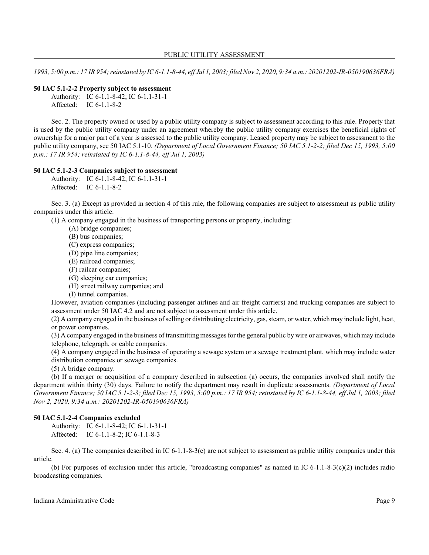*1993, 5:00 p.m.: 17 IR 954;reinstated by IC 6-1.1-8-44, eff Jul 1, 2003; filed Nov 2, 2020, 9:34 a.m.: 20201202-IR-050190636FRA)*

#### **50 IAC 5.1-2-2 Property subject to assessment**

Authority: IC 6-1.1-8-42; IC 6-1.1-31-1 Affected: IC 6-1.1-8-2

Sec. 2. The property owned or used by a public utility company is subject to assessment according to this rule. Property that is used by the public utility company under an agreement whereby the public utility company exercises the beneficial rights of ownership for a major part of a year is assessed to the public utility company. Leased property may be subject to assessment to the public utility company, see 50 IAC 5.1-10. *(Department of Local Government Finance; 50 IAC 5.1-2-2; filed Dec 15, 1993, 5:00 p.m.: 17 IR 954; reinstated by IC 6-1.1-8-44, eff Jul 1, 2003)*

#### **50 IAC 5.1-2-3 Companies subject to assessment**

Authority: IC 6-1.1-8-42; IC 6-1.1-31-1 Affected: IC 6-1.1-8-2

Sec. 3. (a) Except as provided in section 4 of this rule, the following companies are subject to assessment as public utility companies under this article:

(1) A company engaged in the business of transporting persons or property, including:

(A) bridge companies;

(B) bus companies;

(C) express companies;

(D) pipe line companies;

(E) railroad companies;

(F) railcar companies;

(G) sleeping car companies;

(H) street railway companies; and

(I) tunnel companies.

However, aviation companies (including passenger airlines and air freight carriers) and trucking companies are subject to assessment under 50 IAC 4.2 and are not subject to assessment under this article.

(2) A company engaged in the business of selling or distributing electricity, gas, steam, or water, which may include light, heat, or power companies.

(3) A company engaged in the business of transmitting messages for the general public by wire or airwaves, which may include telephone, telegraph, or cable companies.

(4) A company engaged in the business of operating a sewage system or a sewage treatment plant, which may include water distribution companies or sewage companies.

(5) A bridge company.

(b) If a merger or acquisition of a company described in subsection (a) occurs, the companies involved shall notify the department within thirty (30) days. Failure to notify the department may result in duplicate assessments. *(Department of Local Government Finance; 50 IAC 5.1-2-3; filed Dec 15, 1993, 5:00 p.m.: 17 IR 954; reinstated by IC 6-1.1-8-44, eff Jul 1, 2003; filed Nov 2, 2020, 9:34 a.m.: 20201202-IR-050190636FRA)*

### **50 IAC 5.1-2-4 Companies excluded**

Authority: IC 6-1.1-8-42; IC 6-1.1-31-1 Affected: IC 6-1.1-8-2; IC 6-1.1-8-3

Sec. 4. (a) The companies described in IC 6-1.1-8-3(c) are not subject to assessment as public utility companies under this article.

(b) For purposes of exclusion under this article, "broadcasting companies" as named in IC 6-1.1-8-3(c)(2) includes radio broadcasting companies.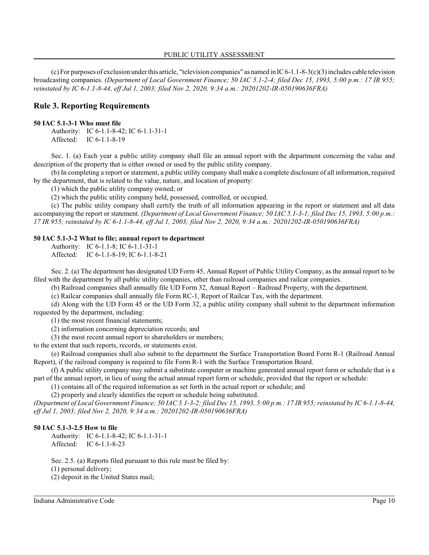(c) For purposes of exclusion under this article, "television companies" as named in  $IC$  6-1.1-8-3(c)(3) includes cable television broadcasting companies. *(Department of Local Government Finance; 50 IAC 5.1-2-4; filed Dec 15, 1993, 5:00 p.m.: 17 IR 955; reinstated by IC 6-1.1-8-44, eff Jul 1, 2003; filed Nov 2, 2020, 9:34 a.m.: 20201202-IR-050190636FRA)*

# **Rule 3. Reporting Requirements**

#### **50 IAC 5.1-3-1 Who must file**

Authority: IC 6-1.1-8-42; IC 6-1.1-31-1 Affected: IC 6-1.1-8-19

Sec. 1. (a) Each year a public utility company shall file an annual report with the department concerning the value and description of the property that is either owned or used by the public utility company.

(b) In completing a report or statement, a public utility company shall make a complete disclosure of all information, required by the department, that is related to the value, nature, and location of property:

(1) which the public utility company owned; or

(2) which the public utility company held, possessed, controlled, or occupied.

(c) The public utility company shall certify the truth of all information appearing in the report or statement and all data accompanying the report or statement. *(Department of Local Government Finance; 50 IAC 5.1-3-1; filed Dec 15, 1993, 5:00 p.m.: 17 IR 955; reinstated by IC 6-1.1-8-44, eff Jul 1, 2003; filed Nov 2, 2020, 9:34 a.m.: 20201202-IR-050190636FRA)*

#### **50 IAC 5.1-3-2 What to file; annual report to department**

Authority: IC 6-1.1-8; IC 6-1.1-31-1

Affected: IC 6-1.1-8-19; IC 6-1.1-8-21

Sec. 2. (a) The department has designated UD Form 45, Annual Report of Public Utility Company, as the annual report to be filed with the department by all public utility companies, other than railroad companies and railcar companies.

(b) Railroad companies shall annually file UD Form 32, Annual Report – Railroad Property, with the department.

(c) Railcar companies shall annually file Form RC-1, Report of Railcar Tax, with the department.

(d) Along with the UD Form 45 or the UD Form 32, a public utility company shall submit to the department information requested by the department, including:

(1) the most recent financial statements;

(2) information concerning depreciation records; and

(3) the most recent annual report to shareholders or members;

to the extent that such reports, records, or statements exist.

(e) Railroad companies shall also submit to the department the Surface Transportation Board Form R-1 (Railroad Annual Report), if the railroad company is required to file Form R-1 with the Surface Transportation Board.

(f) A public utility company may submit a substitute computer or machine generated annual report form or schedule that is a part of the annual report, in lieu of using the actual annual report form or schedule, provided that the report or schedule:

(1) contains all of the required information as set forth in the actual report or schedule; and

(2) properly and clearly identifies the report or schedule being substituted.

*(Department of Local Government Finance; 50 IAC 5.1-3-2; filed Dec 15, 1993, 5:00 p.m.: 17 IR 955; reinstated by IC 6-1.1-8-44, eff Jul 1, 2003; filed Nov 2, 2020, 9:34 a.m.: 20201202-IR-050190636FRA)*

## **50 IAC 5.1-3-2.5 How to file**

Authority: IC 6-1.1-8-42; IC 6-1.1-31-1 Affected: IC 6-1.1-8-23

Sec. 2.5. (a) Reports filed pursuant to this rule must be filed by:

(1) personal delivery;

(2) deposit in the United States mail;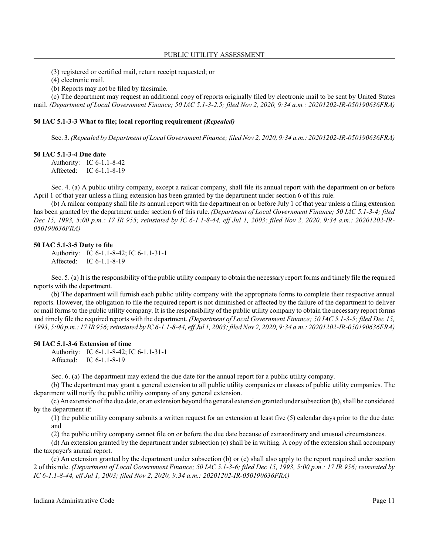(3) registered or certified mail, return receipt requested; or

(4) electronic mail.

(b) Reports may not be filed by facsimile.

(c) The department may request an additional copy of reports originally filed by electronic mail to be sent by United States mail. *(Department of Local Government Finance; 50 IAC 5.1-3-2.5; filed Nov 2, 2020, 9:34 a.m.: 20201202-IR-050190636FRA)*

#### **50 IAC 5.1-3-3 What to file; local reporting requirement** *(Repealed)*

Sec. 3. *(Repealed by Department of Local Government Finance; filed Nov 2, 2020, 9:34 a.m.: 20201202-IR-050190636FRA)*

#### **50 IAC 5.1-3-4 Due date**

Authority: IC 6-1.1-8-42 Affected: IC 6-1.1-8-19

Sec. 4. (a) A public utility company, except a railcar company, shall file its annual report with the department on or before April 1 of that year unless a filing extension has been granted by the department under section 6 of this rule.

(b) A railcar company shall file its annual report with the department on or before July 1 of that year unless a filing extension has been granted by the department under section 6 of this rule. *(Department of Local Government Finance; 50 IAC 5.1-3-4; filed Dec 15, 1993, 5:00 p.m.: 17 IR 955; reinstated by IC 6-1.1-8-44, eff Jul 1, 2003; filed Nov 2, 2020, 9:34 a.m.: 20201202-IR-050190636FRA)*

#### **50 IAC 5.1-3-5 Duty to file**

Authority: IC 6-1.1-8-42; IC 6-1.1-31-1 Affected: IC 6-1.1-8-19

Sec. 5. (a) It is the responsibility of the public utility company to obtain the necessary report forms and timely file the required reports with the department.

(b) The department will furnish each public utility company with the appropriate forms to complete their respective annual reports. However, the obligation to file the required report is not diminished or affected by the failure of the department to deliver or mail forms to the public utility company. It is the responsibility of the public utility company to obtain the necessary report forms and timely file the required reports with the department. *(Department of Local Government Finance; 50 IAC 5.1-3-5; filed Dec 15, 1993, 5:00 p.m.: 17 IR 956;reinstated by IC 6-1.1-8-44, eff Jul 1, 2003; filed Nov 2, 2020, 9:34 a.m.: 20201202-IR-050190636FRA)*

#### **50 IAC 5.1-3-6 Extension of time**

Authority: IC 6-1.1-8-42; IC 6-1.1-31-1 Affected: IC 6-1.1-8-19

Sec. 6. (a) The department may extend the due date for the annual report for a public utility company.

(b) The department may grant a general extension to all public utility companies or classes of public utility companies. The department will notify the public utility company of any general extension.

(c) An extension of the due date, or an extension beyond the general extension granted undersubsection (b), shall be considered by the department if:

(1) the public utility company submits a written request for an extension at least five (5) calendar days prior to the due date; and

(2) the public utility company cannot file on or before the due date because of extraordinary and unusual circumstances.

(d) An extension granted by the department under subsection (c) shall be in writing. A copy of the extension shall accompany the taxpayer's annual report.

(e) An extension granted by the department under subsection (b) or (c) shall also apply to the report required under section 2 of this rule. *(Department of Local Government Finance; 50 IAC 5.1-3-6; filed Dec 15, 1993, 5:00 p.m.: 17 IR 956; reinstated by IC 6-1.1-8-44, eff Jul 1, 2003; filed Nov 2, 2020, 9:34 a.m.: 20201202-IR-050190636FRA)*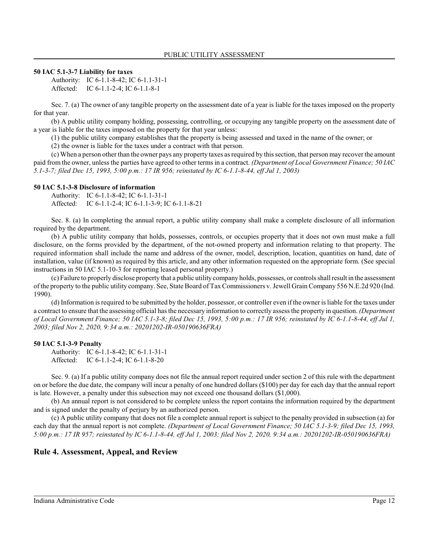#### **50 IAC 5.1-3-7 Liability for taxes**

Authority: IC 6-1.1-8-42; IC 6-1.1-31-1 Affected: IC 6-1.1-2-4; IC 6-1.1-8-1

Sec. 7. (a) The owner of any tangible property on the assessment date of a year is liable for the taxes imposed on the property for that year.

(b) A public utility company holding, possessing, controlling, or occupying any tangible property on the assessment date of a year is liable for the taxes imposed on the property for that year unless:

(1) the public utility company establishes that the property is being assessed and taxed in the name of the owner; or

(2) the owner is liable for the taxes under a contract with that person.

(c) When a person other than the owner pays any property taxes as required by thissection, that person may recover the amount paid from the owner, unless the parties have agreed to other terms in a contract. *(Department of Local Government Finance; 50 IAC 5.1-3-7; filed Dec 15, 1993, 5:00 p.m.: 17 IR 956; reinstated by IC 6-1.1-8-44, eff Jul 1, 2003)*

#### **50 IAC 5.1-3-8 Disclosure of information**

Authority: IC 6-1.1-8-42; IC 6-1.1-31-1 Affected: IC 6-1.1-2-4; IC 6-1.1-3-9; IC 6-1.1-8-21

Sec. 8. (a) In completing the annual report, a public utility company shall make a complete disclosure of all information required by the department.

(b) A public utility company that holds, possesses, controls, or occupies property that it does not own must make a full disclosure, on the forms provided by the department, of the not-owned property and information relating to that property. The required information shall include the name and address of the owner, model, description, location, quantities on hand, date of installation, value (if known) as required by this article, and any other information requested on the appropriate form. (See special instructions in 50 IAC 5.1-10-3 for reporting leased personal property.)

(c) Failure to properly disclose property that a public utility company holds, possesses, or controls shall result in the assessment of the property to the public utility company. See, State Board of Tax Commissioners v. Jewell Grain Company 556 N.E.2d 920 (Ind. 1990).

(d) Information is required to be submitted by the holder, possessor, or controller even if the owner is liable for the taxes under a contract to ensure that the assessing official has the necessary information to correctly assessthe property in question. *(Department of Local Government Finance; 50 IAC 5.1-3-8; filed Dec 15, 1993, 5:00 p.m.: 17 IR 956; reinstated by IC 6-1.1-8-44, eff Jul 1, 2003; filed Nov 2, 2020, 9:34 a.m.: 20201202-IR-050190636FRA)*

### **50 IAC 5.1-3-9 Penalty**

Authority: IC 6-1.1-8-42; IC 6-1.1-31-1 Affected: IC 6-1.1-2-4; IC 6-1.1-8-20

Sec. 9. (a) If a public utility company does not file the annual report required under section 2 of this rule with the department on or before the due date, the company will incur a penalty of one hundred dollars (\$100) per day for each day that the annual report is late. However, a penalty under this subsection may not exceed one thousand dollars (\$1,000).

(b) An annual report is not considered to be complete unless the report contains the information required by the department and is signed under the penalty of perjury by an authorized person.

(c) A public utility company that does not file a complete annual report is subject to the penalty provided in subsection (a) for each day that the annual report is not complete. *(Department of Local Government Finance; 50 IAC 5.1-3-9; filed Dec 15, 1993, 5:00 p.m.: 17 IR 957; reinstated by IC 6-1.1-8-44, eff Jul 1, 2003; filed Nov 2, 2020, 9:34 a.m.: 20201202-IR-050190636FRA)*

# **Rule 4. Assessment, Appeal, and Review**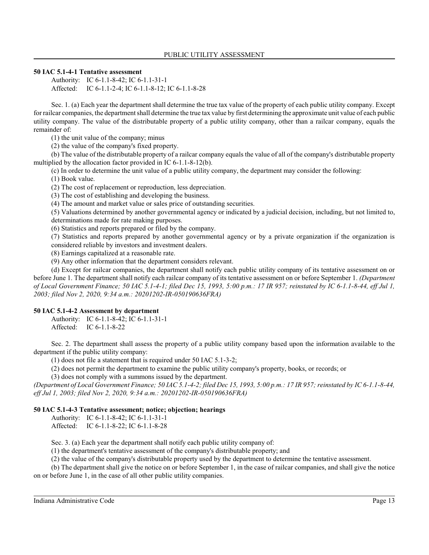#### **50 IAC 5.1-4-1 Tentative assessment**

Authority: IC 6-1.1-8-42; IC 6-1.1-31-1 Affected: IC 6-1.1-2-4; IC 6-1.1-8-12; IC 6-1.1-8-28

Sec. 1. (a) Each year the department shall determine the true tax value of the property of each public utility company. Except for railcar companies, the department shall determine the true tax value by first determining the approximate unit value of each public utility company. The value of the distributable property of a public utility company, other than a railcar company, equals the remainder of:

(1) the unit value of the company; minus

(2) the value of the company's fixed property.

(b) The value of the distributable property of a railcar company equals the value of all of the company's distributable property multiplied by the allocation factor provided in IC 6-1.1-8-12(b).

(c) In order to determine the unit value of a public utility company, the department may consider the following:

(1) Book value.

(2) The cost of replacement or reproduction, less depreciation.

(3) The cost of establishing and developing the business.

(4) The amount and market value or sales price of outstanding securities.

(5) Valuations determined by another governmental agency or indicated by a judicial decision, including, but not limited to, determinations made for rate making purposes.

(6) Statistics and reports prepared or filed by the company.

(7) Statistics and reports prepared by another governmental agency or by a private organization if the organization is considered reliable by investors and investment dealers.

(8) Earnings capitalized at a reasonable rate.

(9) Any other information that the department considers relevant.

(d) Except for railcar companies, the department shall notify each public utility company of its tentative assessment on or before June 1. The department shall notify each railcar company of its tentative assessment on or before September 1. *(Department of Local Government Finance; 50 IAC 5.1-4-1; filed Dec 15, 1993, 5:00 p.m.: 17 IR 957; reinstated by IC 6-1.1-8-44, eff Jul 1, 2003; filed Nov 2, 2020, 9:34 a.m.: 20201202-IR-050190636FRA)*

### **50 IAC 5.1-4-2 Assessment by department**

Authority: IC 6-1.1-8-42; IC 6-1.1-31-1 Affected: IC 6-1.1-8-22

Sec. 2. The department shall assess the property of a public utility company based upon the information available to the department if the public utility company:

(1) does not file a statement that is required under 50 IAC 5.1-3-2;

(2) does not permit the department to examine the public utility company's property, books, or records; or

(3) does not comply with a summons issued by the department.

*(Department of Local Government Finance; 50 IAC 5.1-4-2; filed Dec 15, 1993, 5:00 p.m.: 17 IR 957; reinstated by IC 6-1.1-8-44, eff Jul 1, 2003; filed Nov 2, 2020, 9:34 a.m.: 20201202-IR-050190636FRA)*

### **50 IAC 5.1-4-3 Tentative assessment; notice; objection; hearings**

Authority: IC 6-1.1-8-42; IC 6-1.1-31-1

Affected: IC 6-1.1-8-22; IC 6-1.1-8-28

Sec. 3. (a) Each year the department shall notify each public utility company of:

(1) the department's tentative assessment of the company's distributable property; and

(2) the value of the company's distributable property used by the department to determine the tentative assessment.

(b) The department shall give the notice on or before September 1, in the case of railcar companies, and shall give the notice on or before June 1, in the case of all other public utility companies.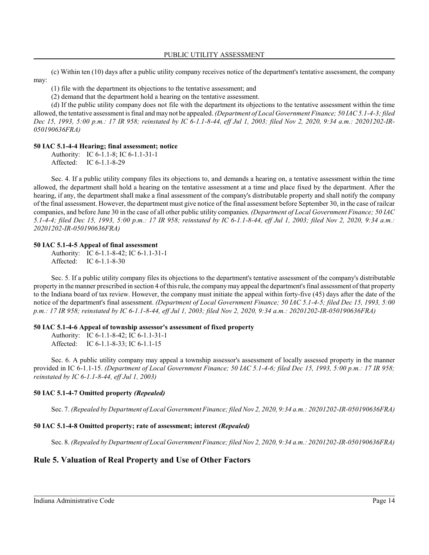(c) Within ten (10) days after a public utility company receives notice of the department's tentative assessment, the company may:

(1) file with the department its objections to the tentative assessment; and

(2) demand that the department hold a hearing on the tentative assessment.

(d) If the public utility company does not file with the department its objections to the tentative assessment within the time allowed, the tentative assessment is final and may not be appealed. *(Department of Local Government Finance; 50 IAC 5.1-4-3; filed Dec 15, 1993, 5:00 p.m.: 17 IR 958; reinstated by IC 6-1.1-8-44, eff Jul 1, 2003; filed Nov 2, 2020, 9:34 a.m.: 20201202-IR-050190636FRA)*

# **50 IAC 5.1-4-4 Hearing; final assessment; notice**

Authority: IC 6-1.1-8; IC 6-1.1-31-1 Affected: IC 6-1.1-8-29

Sec. 4. If a public utility company files its objections to, and demands a hearing on, a tentative assessment within the time allowed, the department shall hold a hearing on the tentative assessment at a time and place fixed by the department. After the hearing, if any, the department shall make a final assessment of the company's distributable property and shall notify the company of the final assessment. However, the department must give notice of the final assessment before September 30, in the case of railcar companies, and before June 30 in the case of all other public utility companies. *(Department of Local Government Finance; 50 IAC 5.1-4-4; filed Dec 15, 1993, 5:00 p.m.: 17 IR 958; reinstated by IC 6-1.1-8-44, eff Jul 1, 2003; filed Nov 2, 2020, 9:34 a.m.: 20201202-IR-050190636FRA)*

#### **50 IAC 5.1-4-5 Appeal of final assessment**

Authority: IC 6-1.1-8-42; IC 6-1.1-31-1 Affected: IC 6-1.1-8-30

Sec. 5. If a public utility company files its objections to the department's tentative assessment of the company's distributable property in the manner prescribed in section 4 of thisrule, the companymay appeal the department's final assessment of that property to the Indiana board of tax review. However, the company must initiate the appeal within forty-five (45) days after the date of the notice of the department's final assessment. *(Department of Local Government Finance; 50 IAC 5.1-4-5; filed Dec 15, 1993, 5:00 p.m.: 17 IR 958; reinstated by IC 6-1.1-8-44, eff Jul 1, 2003; filed Nov 2, 2020, 9:34 a.m.: 20201202-IR-050190636FRA)*

### **50 IAC 5.1-4-6 Appeal of township assessor's assessment of fixed property**

Authority: IC 6-1.1-8-42; IC 6-1.1-31-1 Affected: IC 6-1.1-8-33; IC 6-1.1-15

Sec. 6. A public utility company may appeal a township assessor's assessment of locally assessed property in the manner provided in IC 6-1.1-15. *(Department of Local Government Finance; 50 IAC 5.1-4-6; filed Dec 15, 1993, 5:00 p.m.: 17 IR 958; reinstated by IC 6-1.1-8-44, eff Jul 1, 2003)*

### **50 IAC 5.1-4-7 Omitted property** *(Repealed)*

Sec. 7. *(Repealed by Department of Local Government Finance; filed Nov 2, 2020, 9:34 a.m.: 20201202-IR-050190636FRA)*

### **50 IAC 5.1-4-8 Omitted property; rate of assessment; interest** *(Repealed)*

Sec. 8. *(Repealed by Department of Local Government Finance; filed Nov 2, 2020, 9:34 a.m.: 20201202-IR-050190636FRA)*

# **Rule 5. Valuation of Real Property and Use of Other Factors**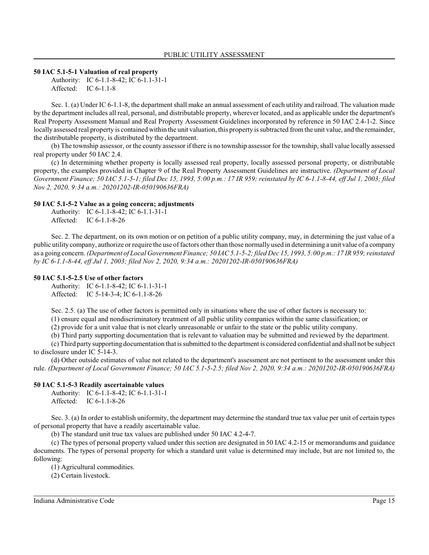#### **50 IAC 5.1-5-1 Valuation of real property**

Authority: IC 6-1.1-8-42; IC 6-1.1-31-1 Affected: IC 6-1.1-8

Sec. 1. (a) Under IC 6-1.1-8, the department shall make an annual assessment of each utility and railroad. The valuation made by the department includes all real, personal, and distributable property, wherever located, and as applicable under the department's Real Property Assessment Manual and Real Property Assessment Guidelines incorporated by reference in 50 IAC 2.4-1-2. Since locally assessed real property is contained within the unit valuation, this property is subtracted fromthe unit value, and the remainder, the distributable property, is distributed by the department.

(b) The township assessor, or the county assessor if there is no township assessor for the township, shall value locally assessed real property under 50 IAC 2.4.

(c) In determining whether property is locally assessed real property, locally assessed personal property, or distributable property, the examples provided in Chapter 9 of the Real Property Assessment Guidelines are instructive. *(Department of Local Government Finance; 50 IAC 5.1-5-1; filed Dec 15, 1993, 5:00 p.m.: 17 IR 959; reinstated by IC 6-1.1-8-44, eff Jul 1, 2003; filed Nov 2, 2020, 9:34 a.m.: 20201202-IR-050190636FRA)*

#### **50 IAC 5.1-5-2 Value as a going concern; adjustments**

Authority: IC 6-1.1-8-42; IC 6-1.1-31-1 Affected: IC 6-1.1-8-26

Sec. 2. The department, on its own motion or on petition of a public utility company, may, in determining the just value of a public utility company, authorize or require the use of factors other than those normally used in determining a unit value of a company as a going concern. *(Department of Local Government Finance; 50 IAC 5.1-5-2; filed Dec 15, 1993, 5:00 p.m.: 17 IR 959;reinstated by IC 6-1.1-8-44, eff Jul 1, 2003; filed Nov 2, 2020, 9:34 a.m.: 20201202-IR-050190636FRA)*

#### **50 IAC 5.1-5-2.5 Use of other factors**

Authority: IC 6-1.1-8-42; IC 6-1.1-31-1 Affected: IC 5-14-3-4; IC 6-1.1-8-26

Sec. 2.5. (a) The use of other factors is permitted only in situations where the use of other factors is necessary to: (1) ensure equal and nondiscriminatory treatment of all public utility companies within the same classification; or

(2) provide for a unit value that is not clearly unreasonable or unfair to the state or the public utility company.

(b) Third party supporting documentation that is relevant to valuation may be submitted and reviewed by the department.

(c) Third party supporting documentation that is submitted to the department is considered confidential and shall not be subject to disclosure under IC 5-14-3.

(d) Other outside estimates of value not related to the department's assessment are not pertinent to the assessment under this rule. *(Department of Local Government Finance; 50 IAC 5.1-5-2.5; filed Nov 2, 2020, 9:34 a.m.: 20201202-IR-050190636FRA)*

### **50 IAC 5.1-5-3 Readily ascertainable values**

Authority: IC 6-1.1-8-42; IC 6-1.1-31-1 Affected: IC 6-1.1-8-26

Sec. 3. (a) In order to establish uniformity, the department may determine the standard true tax value per unit of certain types of personal property that have a readily ascertainable value.

(b) The standard unit true tax values are published under 50 IAC 4.2-4-7.

(c) The types of personal property valued under this section are designated in 50 IAC 4.2-15 or memorandums and guidance documents. The types of personal property for which a standard unit value is determined may include, but are not limited to, the following:

(1) Agricultural commodities.

(2) Certain livestock.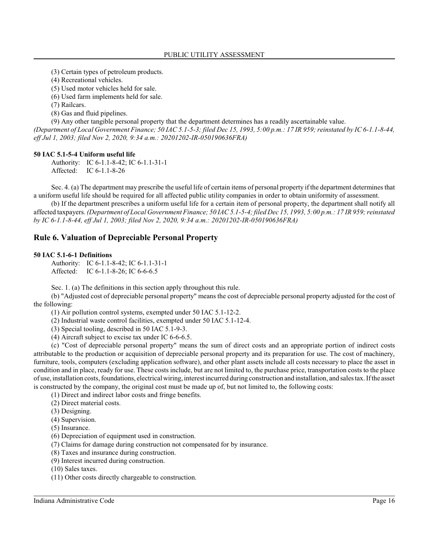(3) Certain types of petroleum products.

(4) Recreational vehicles.

(5) Used motor vehicles held for sale.

(6) Used farm implements held for sale.

(7) Railcars.

(8) Gas and fluid pipelines.

(9) Any other tangible personal property that the department determines has a readily ascertainable value.

*(Department of Local Government Finance; 50 IAC 5.1-5-3; filed Dec 15, 1993, 5:00 p.m.: 17 IR 959; reinstated by IC 6-1.1-8-44, eff Jul 1, 2003; filed Nov 2, 2020, 9:34 a.m.: 20201202-IR-050190636FRA)*

### **50 IAC 5.1-5-4 Uniform useful life**

Authority: IC 6-1.1-8-42; IC 6-1.1-31-1 Affected: IC 6-1.1-8-26

Sec. 4. (a) The department may prescribe the useful life of certain items of personal property if the department determines that a uniform useful life should be required for all affected public utility companies in order to obtain uniformity of assessment.

(b) If the department prescribes a uniform useful life for a certain item of personal property, the department shall notify all affected taxpayers. *(Department of Local Government Finance; 50 IAC 5.1-5-4; filed Dec 15, 1993, 5:00 p.m.: 17 IR 959;reinstated by IC 6-1.1-8-44, eff Jul 1, 2003; filed Nov 2, 2020, 9:34 a.m.: 20201202-IR-050190636FRA)*

# **Rule 6. Valuation of Depreciable Personal Property**

#### **50 IAC 5.1-6-1 Definitions**

Authority: IC 6-1.1-8-42; IC 6-1.1-31-1 Affected: IC 6-1.1-8-26; IC 6-6-6.5

Sec. 1. (a) The definitions in this section apply throughout this rule.

(b) "Adjusted cost of depreciable personal property" means the cost of depreciable personal property adjusted for the cost of the following:

(1) Air pollution control systems, exempted under 50 IAC 5.1-12-2.

(2) Industrial waste control facilities, exempted under 50 IAC 5.1-12-4.

(3) Special tooling, described in 50 IAC 5.1-9-3.

(4) Aircraft subject to excise tax under IC 6-6-6.5.

(c) "Cost of depreciable personal property" means the sum of direct costs and an appropriate portion of indirect costs attributable to the production or acquisition of depreciable personal property and its preparation for use. The cost of machinery, furniture, tools, computers (excluding application software), and other plant assets include all costs necessary to place the asset in condition and in place, ready for use. These costs include, but are not limited to, the purchase price, transportation costs to the place of use, installation costs, foundations, electrical wiring, interest incurred during construction and installation, and sales tax. If the asset is constructed by the company, the original cost must be made up of, but not limited to, the following costs:

(1) Direct and indirect labor costs and fringe benefits.

(2) Direct material costs.

(3) Designing.

(4) Supervision.

(5) Insurance.

(6) Depreciation of equipment used in construction.

(7) Claims for damage during construction not compensated for by insurance.

(8) Taxes and insurance during construction.

(9) Interest incurred during construction.

(10) Sales taxes.

(11) Other costs directly chargeable to construction.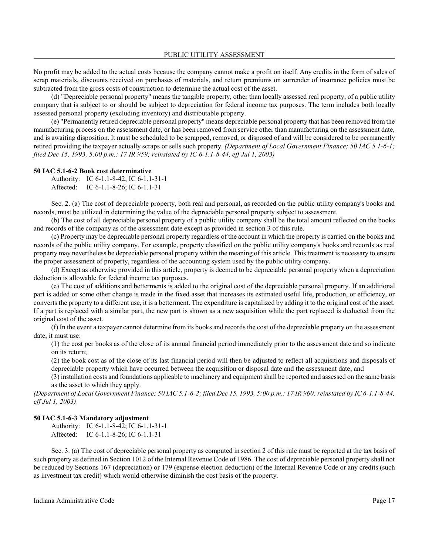No profit may be added to the actual costs because the company cannot make a profit on itself. Any credits in the form of sales of scrap materials, discounts received on purchases of materials, and return premiums on surrender of insurance policies must be subtracted from the gross costs of construction to determine the actual cost of the asset.

(d) "Depreciable personal property" means the tangible property, other than locally assessed real property, of a public utility company that is subject to or should be subject to depreciation for federal income tax purposes. The term includes both locally assessed personal property (excluding inventory) and distributable property.

(e) "Permanently retired depreciable personal property" means depreciable personal property that has been removed from the manufacturing process on the assessment date, or has been removed from service other than manufacturing on the assessment date, and is awaiting disposition. It must be scheduled to be scrapped, removed, or disposed of and will be considered to be permanently retired providing the taxpayer actually scraps or sells such property. *(Department of Local Government Finance; 50 IAC 5.1-6-1; filed Dec 15, 1993, 5:00 p.m.: 17 IR 959; reinstated by IC 6-1.1-8-44, eff Jul 1, 2003)*

#### **50 IAC 5.1-6-2 Book cost determinative**

Authority: IC 6-1.1-8-42; IC 6-1.1-31-1 Affected: IC 6-1.1-8-26; IC 6-1.1-31

Sec. 2. (a) The cost of depreciable property, both real and personal, as recorded on the public utility company's books and records, must be utilized in determining the value of the depreciable personal property subject to assessment.

(b) The cost of all depreciable personal property of a public utility company shall be the total amount reflected on the books and records of the company as of the assessment date except as provided in section 3 of this rule.

(c) Property may be depreciable personal property regardless of the account in which the property is carried on the books and records of the public utility company. For example, property classified on the public utility company's books and records as real property may nevertheless be depreciable personal property within the meaning of this article. This treatment is necessary to ensure the proper assessment of property, regardless of the accounting system used by the public utility company.

(d) Except as otherwise provided in this article, property is deemed to be depreciable personal property when a depreciation deduction is allowable for federal income tax purposes.

(e) The cost of additions and betterments is added to the original cost of the depreciable personal property. If an additional part is added or some other change is made in the fixed asset that increases its estimated useful life, production, or efficiency, or converts the property to a different use, it is a betterment. The expenditure is capitalized by adding it to the original cost of the asset. If a part is replaced with a similar part, the new part is shown as a new acquisition while the part replaced is deducted from the original cost of the asset.

(f) In the event a taxpayer cannot determine from its books and records the cost of the depreciable property on the assessment date, it must use:

(1) the cost per books as of the close of its annual financial period immediately prior to the assessment date and so indicate on its return;

(2) the book cost as of the close of its last financial period will then be adjusted to reflect all acquisitions and disposals of depreciable property which have occurred between the acquisition or disposal date and the assessment date; and

(3) installation costs and foundations applicable to machinery and equipment shall be reported and assessed on the same basis as the asset to which they apply.

*(Department of Local Government Finance; 50 IAC 5.1-6-2; filed Dec 15, 1993, 5:00 p.m.: 17 IR 960; reinstated by IC 6-1.1-8-44, eff Jul 1, 2003)*

#### **50 IAC 5.1-6-3 Mandatory adjustment**

|           | Authority: IC 6-1.1-8-42; IC 6-1.1-31-1 |
|-----------|-----------------------------------------|
| Affected: | IC $6-1.1-8-26$ ; IC $6-1.1-31$         |

Sec. 3. (a) The cost of depreciable personal property as computed in section 2 of this rule must be reported at the tax basis of such property as defined in Section 1012 of the Internal Revenue Code of 1986. The cost of depreciable personal property shall not be reduced by Sections 167 (depreciation) or 179 (expense election deduction) of the Internal Revenue Code or any credits (such as investment tax credit) which would otherwise diminish the cost basis of the property.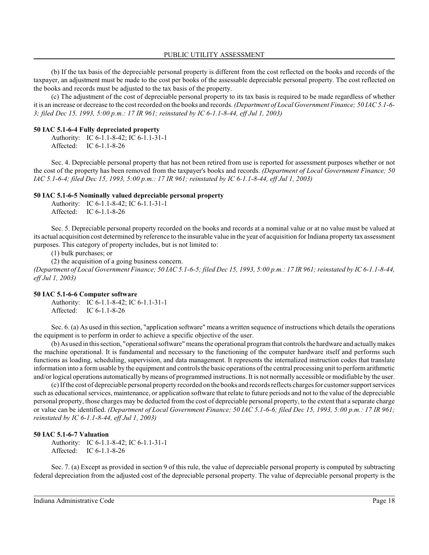(b) If the tax basis of the depreciable personal property is different from the cost reflected on the books and records of the taxpayer, an adjustment must be made to the cost per books of the assessable depreciable personal property. The cost reflected on the books and records must be adjusted to the tax basis of the property.

(c) The adjustment of the cost of depreciable personal property to its tax basis is required to be made regardless of whether it is an increase or decrease to the cost recorded on the books and records. *(Department of Local Government Finance; 50 IAC 5.1-6- 3; filed Dec 15, 1993, 5:00 p.m.: 17 IR 961; reinstated by IC 6-1.1-8-44, eff Jul 1, 2003)*

#### **50 IAC 5.1-6-4 Fully depreciated property**

Authority: IC 6-1.1-8-42; IC 6-1.1-31-1 Affected: IC 6-1.1-8-26

Sec. 4. Depreciable personal property that has not been retired from use is reported for assessment purposes whether or not the cost of the property has been removed from the taxpayer's books and records. *(Department of Local Government Finance; 50 IAC 5.1-6-4; filed Dec 15, 1993, 5:00 p.m.: 17 IR 961; reinstated by IC 6-1.1-8-44, eff Jul 1, 2003)*

#### **50 IAC 5.1-6-5 Nominally valued depreciable personal property**

Authority: IC 6-1.1-8-42; IC 6-1.1-31-1 Affected: IC 6-1.1-8-26

Sec. 5. Depreciable personal property recorded on the books and records at a nominal value or at no value must be valued at its actual acquisition cost determined by reference to the insurable value in the year of acquisition for Indiana property tax assessment purposes. This category of property includes, but is not limited to:

(1) bulk purchases; or

(2) the acquisition of a going business concern.

*(Department of Local Government Finance; 50 IAC 5.1-6-5; filed Dec 15, 1993, 5:00 p.m.: 17 IR 961; reinstated by IC 6-1.1-8-44, eff Jul 1, 2003)*

#### **50 IAC 5.1-6-6 Computer software**

Authority: IC 6-1.1-8-42; IC 6-1.1-31-1 Affected: IC 6-1.1-8-26

Sec. 6. (a) As used in thissection, "application software" means a written sequence of instructions which details the operations the equipment is to perform in order to achieve a specific objective of the user.

(b) As used in thissection, "operational software" means the operational programthat controls the hardware and actuallymakes the machine operational. It is fundamental and necessary to the functioning of the computer hardware itself and performs such functions as loading, scheduling, supervision, and data management. It represents the internalized instruction codes that translate information into a form usable by the equipment and controls the basic operations of the central processing unit to performarithmetic and/or logical operations automatically by means of programmed instructions. It is not normally accessible or modifiable by the user.

(c)If the cost of depreciable personal property recorded on the books and records reflects charges for customer support services such as educational services, maintenance, or application software that relate to future periods and not to the value of the depreciable personal property, those charges may be deducted from the cost of depreciable personal property, to the extent that a separate charge or value can be identified. *(Department of Local Government Finance; 50 IAC 5.1-6-6; filed Dec 15, 1993, 5:00 p.m.: 17 IR 961; reinstated by IC 6-1.1-8-44, eff Jul 1, 2003)*

#### **50 IAC 5.1-6-7 Valuation**

Authority: IC 6-1.1-8-42; IC 6-1.1-31-1 Affected: IC 6-1.1-8-26

Sec. 7. (a) Except as provided in section 9 of this rule, the value of depreciable personal property is computed by subtracting federal depreciation from the adjusted cost of the depreciable personal property. The value of depreciable personal property is the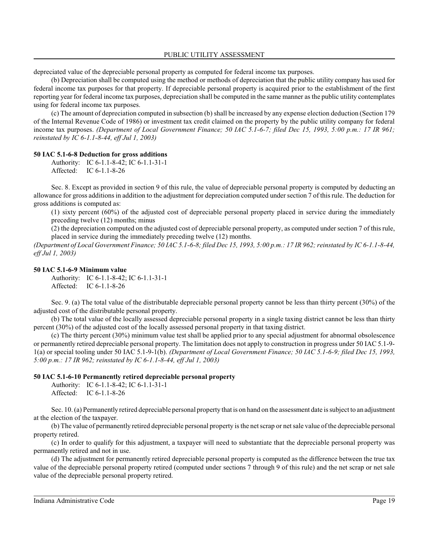depreciated value of the depreciable personal property as computed for federal income tax purposes.

(b) Depreciation shall be computed using the method or methods of depreciation that the public utility company has used for federal income tax purposes for that property. If depreciable personal property is acquired prior to the establishment of the first reporting year for federal income tax purposes, depreciation shall be computed in the same manner as the public utility contemplates using for federal income tax purposes.

(c) The amount of depreciation computed in subsection (b) shall be increased by any expense election deduction (Section 179 of the Internal Revenue Code of 1986) or investment tax credit claimed on the property by the public utility company for federal income tax purposes. *(Department of Local Government Finance; 50 IAC 5.1-6-7; filed Dec 15, 1993, 5:00 p.m.: 17 IR 961; reinstated by IC 6-1.1-8-44, eff Jul 1, 2003)*

### **50 IAC 5.1-6-8 Deduction for gross additions**

Authority: IC 6-1.1-8-42; IC 6-1.1-31-1 Affected: IC 6-1.1-8-26

Sec. 8. Except as provided in section 9 of this rule, the value of depreciable personal property is computed by deducting an allowance for gross additions in addition to the adjustment for depreciation computed under section 7 of thisrule. The deduction for gross additions is computed as:

(1) sixty percent (60%) of the adjusted cost of depreciable personal property placed in service during the immediately preceding twelve (12) months; minus

(2) the depreciation computed on the adjusted cost of depreciable personal property, as computed under section 7 of thisrule, placed in service during the immediately preceding twelve (12) months.

*(Department of Local Government Finance; 50 IAC 5.1-6-8; filed Dec 15, 1993, 5:00 p.m.: 17 IR 962; reinstated by IC 6-1.1-8-44, eff Jul 1, 2003)*

#### **50 IAC 5.1-6-9 Minimum value**

Authority: IC 6-1.1-8-42; IC 6-1.1-31-1 Affected: IC 6-1.1-8-26

Sec. 9. (a) The total value of the distributable depreciable personal property cannot be less than thirty percent (30%) of the adjusted cost of the distributable personal property.

(b) The total value of the locally assessed depreciable personal property in a single taxing district cannot be less than thirty percent (30%) of the adjusted cost of the locally assessed personal property in that taxing district.

(c) The thirty percent (30%) minimum value test shall be applied prior to any special adjustment for abnormal obsolescence or permanently retired depreciable personal property. The limitation does not apply to construction in progress under 50 IAC 5.1-9- 1(a) or special tooling under 50 IAC 5.1-9-1(b). *(Department of Local Government Finance; 50 IAC 5.1-6-9; filed Dec 15, 1993, 5:00 p.m.: 17 IR 962; reinstated by IC 6-1.1-8-44, eff Jul 1, 2003)*

#### **50 IAC 5.1-6-10 Permanently retired depreciable personal property**

Authority: IC 6-1.1-8-42; IC 6-1.1-31-1 Affected: IC 6-1.1-8-26

Sec. 10. (a) Permanently retired depreciable personal property that is on hand on the assessment date is subject to an adjustment at the election of the taxpayer.

(b) The value of permanently retired depreciable personal property is the net scrap or net sale value of the depreciable personal property retired.

(c) In order to qualify for this adjustment, a taxpayer will need to substantiate that the depreciable personal property was permanently retired and not in use.

(d) The adjustment for permanently retired depreciable personal property is computed as the difference between the true tax value of the depreciable personal property retired (computed under sections 7 through 9 of this rule) and the net scrap or net sale value of the depreciable personal property retired.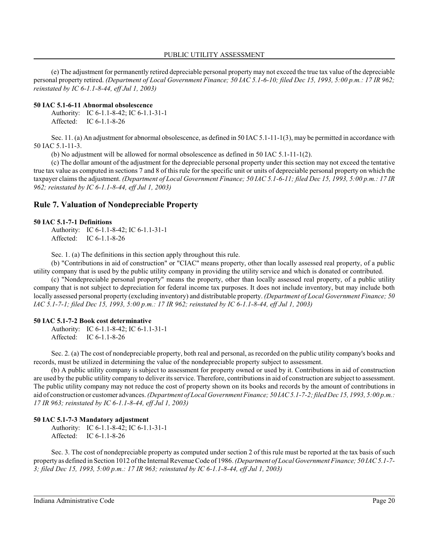(e) The adjustment for permanently retired depreciable personal property may not exceed the true tax value of the depreciable personal property retired. *(Department of Local Government Finance; 50 IAC 5.1-6-10; filed Dec 15, 1993, 5:00 p.m.: 17 IR 962; reinstated by IC 6-1.1-8-44, eff Jul 1, 2003)*

#### **50 IAC 5.1-6-11 Abnormal obsolescence**

Authority: IC 6-1.1-8-42; IC 6-1.1-31-1 Affected: IC 6-1.1-8-26

Sec. 11. (a) An adjustment for abnormal obsolescence, as defined in 50 IAC 5.1-11-1(3), may be permitted in accordance with 50 IAC 5.1-11-3.

(b) No adjustment will be allowed for normal obsolescence as defined in 50 IAC 5.1-11-1(2).

(c) The dollar amount of the adjustment for the depreciable personal property under this section may not exceed the tentative true tax value as computed in sections 7 and 8 of thisrule for the specific unit or units of depreciable personal property on which the taxpayer claims the adjustment. *(Department of Local Government Finance; 50 IAC 5.1-6-11; filed Dec 15, 1993, 5:00 p.m.: 17 IR 962; reinstated by IC 6-1.1-8-44, eff Jul 1, 2003)*

# **Rule 7. Valuation of Nondepreciable Property**

#### **50 IAC 5.1-7-1 Definitions**

Authority: IC 6-1.1-8-42; IC 6-1.1-31-1 Affected: IC 6-1.1-8-26

Sec. 1. (a) The definitions in this section apply throughout this rule.

(b) "Contributions in aid of construction" or "CIAC" means property, other than locally assessed real property, of a public utility company that is used by the public utility company in providing the utility service and which is donated or contributed.

(c) "Nondepreciable personal property" means the property, other than locally assessed real property, of a public utility company that is not subject to depreciation for federal income tax purposes. It does not include inventory, but may include both locally assessed personal property (excluding inventory) and distributable property. *(Department of Local Government Finance; 50 IAC 5.1-7-1; filed Dec 15, 1993, 5:00 p.m.: 17 IR 962; reinstated by IC 6-1.1-8-44, eff Jul 1, 2003)*

#### **50 IAC 5.1-7-2 Book cost determinative**

Authority: IC 6-1.1-8-42; IC 6-1.1-31-1 Affected: IC 6-1.1-8-26

Sec. 2. (a) The cost of nondepreciable property, both real and personal, as recorded on the public utility company's books and records, must be utilized in determining the value of the nondepreciable property subject to assessment.

(b) A public utility company is subject to assessment for property owned or used by it. Contributions in aid of construction are used by the public utility company to deliver its service. Therefore, contributionsin aid of construction are subject to assessment. The public utility company may not reduce the cost of property shown on its books and records by the amount of contributions in aid of construction or customer advances. *(Department of Local Government Finance; 50 IAC 5.1-7-2; filed Dec 15, 1993, 5:00 p.m.: 17 IR 963; reinstated by IC 6-1.1-8-44, eff Jul 1, 2003)*

### **50 IAC 5.1-7-3 Mandatory adjustment**

Authority: IC 6-1.1-8-42; IC 6-1.1-31-1 Affected: IC 6-1.1-8-26

Sec. 3. The cost of nondepreciable property as computed under section 2 of this rule must be reported at the tax basis of such property as defined in Section 1012 of the Internal Revenue Code of 1986. *(Department of Local Government Finance; 50 IAC 5.1-7- 3; filed Dec 15, 1993, 5:00 p.m.: 17 IR 963; reinstated by IC 6-1.1-8-44, eff Jul 1, 2003)*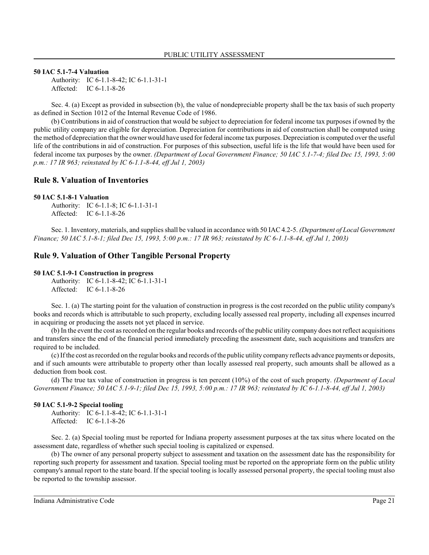#### **50 IAC 5.1-7-4 Valuation**

Authority: IC 6-1.1-8-42; IC 6-1.1-31-1 Affected: IC 6-1.1-8-26

Sec. 4. (a) Except as provided in subsection (b), the value of nondepreciable property shall be the tax basis of such property as defined in Section 1012 of the Internal Revenue Code of 1986.

(b) Contributions in aid of construction that would be subject to depreciation for federal income tax purposes if owned by the public utility company are eligible for depreciation. Depreciation for contributions in aid of construction shall be computed using the method of depreciation that the owner would have used for federal income tax purposes. Depreciation is computed over the useful life of the contributions in aid of construction. For purposes of this subsection, useful life is the life that would have been used for federal income tax purposes by the owner. *(Department of Local Government Finance; 50 IAC 5.1-7-4; filed Dec 15, 1993, 5:00 p.m.: 17 IR 963; reinstated by IC 6-1.1-8-44, eff Jul 1, 2003)*

## **Rule 8. Valuation of Inventories**

#### **50 IAC 5.1-8-1 Valuation**

Authority: IC 6-1.1-8; IC 6-1.1-31-1 Affected: IC 6-1.1-8-26

Sec. 1. Inventory, materials, and supplies shall be valued in accordance with 50 IAC 4.2-5. *(Department of Local Government Finance; 50 IAC 5.1-8-1; filed Dec 15, 1993, 5:00 p.m.: 17 IR 963; reinstated by IC 6-1.1-8-44, eff Jul 1, 2003)*

# **Rule 9. Valuation of Other Tangible Personal Property**

#### **50 IAC 5.1-9-1 Construction in progress**

Authority: IC 6-1.1-8-42; IC 6-1.1-31-1 Affected: IC 6-1.1-8-26

Sec. 1. (a) The starting point for the valuation of construction in progress is the cost recorded on the public utility company's books and records which is attributable to such property, excluding locally assessed real property, including all expenses incurred in acquiring or producing the assets not yet placed in service.

(b) In the event the cost as recorded on the regular books and records of the public utility company does not reflect acquisitions and transfers since the end of the financial period immediately preceding the assessment date, such acquisitions and transfers are required to be included.

(c) If the cost as recorded on the regular books and records of the public utility company reflects advance payments or deposits, and if such amounts were attributable to property other than locally assessed real property, such amounts shall be allowed as a deduction from book cost.

(d) The true tax value of construction in progress is ten percent (10%) of the cost of such property. *(Department of Local Government Finance; 50 IAC 5.1-9-1; filed Dec 15, 1993, 5:00 p.m.: 17 IR 963; reinstated by IC 6-1.1-8-44, eff Jul 1, 2003)*

#### **50 IAC 5.1-9-2 Special tooling**

Authority: IC 6-1.1-8-42; IC 6-1.1-31-1 Affected: IC 6-1.1-8-26

Sec. 2. (a) Special tooling must be reported for Indiana property assessment purposes at the tax situs where located on the assessment date, regardless of whether such special tooling is capitalized or expensed.

(b) The owner of any personal property subject to assessment and taxation on the assessment date has the responsibility for reporting such property for assessment and taxation. Special tooling must be reported on the appropriate form on the public utility company's annual report to the state board. If the special tooling is locally assessed personal property, the special tooling must also be reported to the township assessor.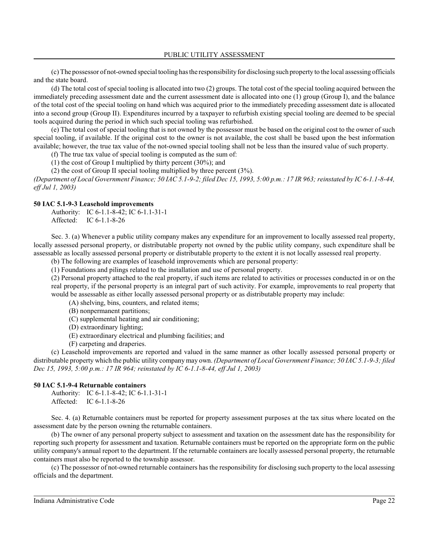(c) The possessor of not-owned special tooling has the responsibilityfor disclosing such property to the local assessing officials and the state board.

(d) The total cost of special tooling is allocated into two (2) groups. The total cost of the special tooling acquired between the immediately preceding assessment date and the current assessment date is allocated into one (1) group (Group I), and the balance of the total cost of the special tooling on hand which was acquired prior to the immediately preceding assessment date is allocated into a second group (Group II). Expenditures incurred by a taxpayer to refurbish existing special tooling are deemed to be special tools acquired during the period in which such special tooling was refurbished.

(e) The total cost of special tooling that is not owned by the possessor must be based on the original cost to the owner of such special tooling, if available. If the original cost to the owner is not available, the cost shall be based upon the best information available; however, the true tax value of the not-owned special tooling shall not be less than the insured value of such property.

(f) The true tax value of special tooling is computed as the sum of:

(1) the cost of Group I multiplied by thirty percent (30%); and

(2) the cost of Group II special tooling multiplied by three percent (3%).

*(Department of Local Government Finance; 50 IAC 5.1-9-2; filed Dec 15, 1993, 5:00 p.m.: 17 IR 963; reinstated by IC 6-1.1-8-44, eff Jul 1, 2003)*

### **50 IAC 5.1-9-3 Leasehold improvements**

Authority: IC 6-1.1-8-42; IC 6-1.1-31-1 Affected: IC 6-1.1-8-26

Sec. 3. (a) Whenever a public utility company makes any expenditure for an improvement to locally assessed real property, locally assessed personal property, or distributable property not owned by the public utility company, such expenditure shall be assessable as locally assessed personal property or distributable property to the extent it is not locally assessed real property.

(b) The following are examples of leasehold improvements which are personal property:

(1) Foundations and pilings related to the installation and use of personal property.

(2) Personal property attached to the real property, if such items are related to activities or processes conducted in or on the real property, if the personal property is an integral part of such activity. For example, improvements to real property that would be assessable as either locally assessed personal property or as distributable property may include:

(A) shelving, bins, counters, and related items;

(B) nonpermanent partitions;

- (C) supplemental heating and air conditioning;
- (D) extraordinary lighting;
- (E) extraordinary electrical and plumbing facilities; and

(F) carpeting and draperies.

(c) Leasehold improvements are reported and valued in the same manner as other locally assessed personal property or distributable property which the public utility company may own. *(Department of Local Government Finance; 50 IAC 5.1-9-3; filed Dec 15, 1993, 5:00 p.m.: 17 IR 964; reinstated by IC 6-1.1-8-44, eff Jul 1, 2003)*

#### **50 IAC 5.1-9-4 Returnable containers**

Authority: IC 6-1.1-8-42; IC 6-1.1-31-1 Affected: IC 6-1.1-8-26

Sec. 4. (a) Returnable containers must be reported for property assessment purposes at the tax situs where located on the assessment date by the person owning the returnable containers.

(b) The owner of any personal property subject to assessment and taxation on the assessment date has the responsibility for reporting such property for assessment and taxation. Returnable containers must be reported on the appropriate form on the public utility company's annual report to the department. If the returnable containers are locally assessed personal property, the returnable containers must also be reported to the township assessor.

(c) The possessor of not-owned returnable containers has the responsibility for disclosing such property to the local assessing officials and the department.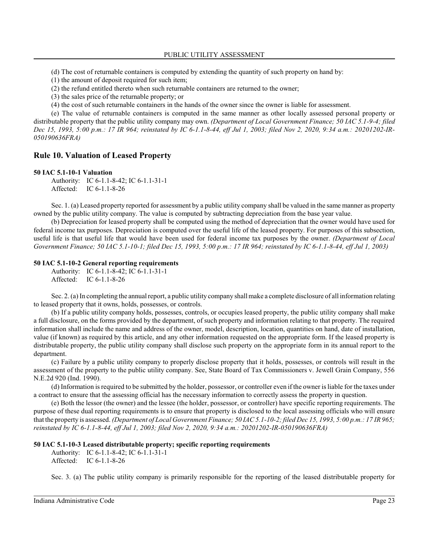(d) The cost of returnable containers is computed by extending the quantity of such property on hand by:

- (1) the amount of deposit required for such item;
- (2) the refund entitled thereto when such returnable containers are returned to the owner;
- (3) the sales price of the returnable property; or
- (4) the cost of such returnable containers in the hands of the owner since the owner is liable for assessment.

(e) The value of returnable containers is computed in the same manner as other locally assessed personal property or distributable property that the public utility company may own. *(Department of Local Government Finance; 50 IAC 5.1-9-4; filed Dec 15, 1993, 5:00 p.m.: 17 IR 964; reinstated by IC 6-1.1-8-44, eff Jul 1, 2003; filed Nov 2, 2020, 9:34 a.m.: 20201202-IR-050190636FRA)*

# **Rule 10. Valuation of Leased Property**

#### **50 IAC 5.1-10-1 Valuation**

Authority: IC 6-1.1-8-42; IC 6-1.1-31-1 Affected: IC 6-1.1-8-26

Sec. 1. (a) Leased property reported for assessment by a public utility company shall be valued in the same manner as property owned by the public utility company. The value is computed by subtracting depreciation from the base year value.

(b) Depreciation for leased property shall be computed using the method of depreciation that the owner would have used for federal income tax purposes. Depreciation is computed over the useful life of the leased property. For purposes of this subsection, useful life is that useful life that would have been used for federal income tax purposes by the owner. *(Department of Local Government Finance; 50 IAC 5.1-10-1; filed Dec 15, 1993, 5:00 p.m.: 17 IR 964; reinstated by IC 6-1.1-8-44, eff Jul 1, 2003)*

#### **50 IAC 5.1-10-2 General reporting requirements**

```
Authority: IC 6-1.1-8-42; IC 6-1.1-31-1
Affected: IC 6-1.1-8-26
```
Sec. 2. (a) In completing the annual report, a public utility company shall make a complete disclosure of all information relating to leased property that it owns, holds, possesses, or controls.

(b) If a public utility company holds, possesses, controls, or occupies leased property, the public utility company shall make a full disclosure, on the forms provided by the department, of such property and information relating to that property. The required information shall include the name and address of the owner, model, description, location, quantities on hand, date of installation, value (if known) as required by this article, and any other information requested on the appropriate form. If the leased property is distributable property, the public utility company shall disclose such property on the appropriate form in its annual report to the department.

(c) Failure by a public utility company to properly disclose property that it holds, possesses, or controls will result in the assessment of the property to the public utility company. See, State Board of Tax Commissioners v. Jewell Grain Company, 556 N.E.2d 920 (Ind. 1990).

(d) Information is required to be submitted by the holder, possessor, or controller even if the owner is liable for the taxes under a contract to ensure that the assessing official has the necessary information to correctly assess the property in question.

(e) Both the lessor (the owner) and the lessee (the holder, possessor, or controller) have specific reporting requirements. The purpose of these dual reporting requirements is to ensure that property is disclosed to the local assessing officials who will ensure that the property is assessed. *(Department of Local Government Finance; 50 IAC 5.1-10-2; filed Dec 15, 1993, 5:00 p.m.: 17 IR 965; reinstated by IC 6-1.1-8-44, eff Jul 1, 2003; filed Nov 2, 2020, 9:34 a.m.: 20201202-IR-050190636FRA)*

### **50 IAC 5.1-10-3 Leased distributable property; specific reporting requirements**

Authority: IC 6-1.1-8-42; IC 6-1.1-31-1 Affected: IC 6-1.1-8-26

Sec. 3. (a) The public utility company is primarily responsible for the reporting of the leased distributable property for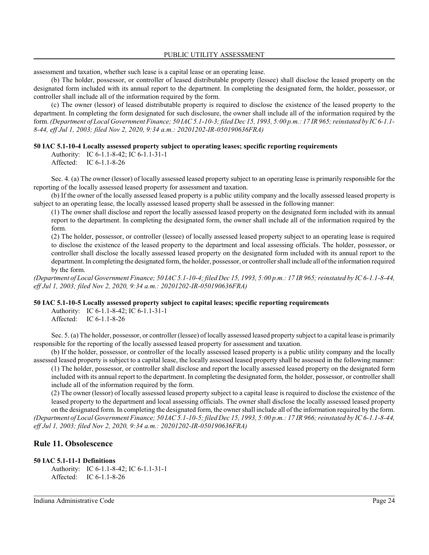assessment and taxation, whether such lease is a capital lease or an operating lease.

(b) The holder, possessor, or controller of leased distributable property (lessee) shall disclose the leased property on the designated form included with its annual report to the department. In completing the designated form, the holder, possessor, or controller shall include all of the information required by the form.

(c) The owner (lessor) of leased distributable property is required to disclose the existence of the leased property to the department. In completing the form designated for such disclosure, the owner shall include all of the information required by the form. *(Department of Local Government Finance; 50 IAC 5.1-10-3; filed Dec 15, 1993, 5:00 p.m.: 17 IR 965;reinstated by IC 6-1.1- 8-44, eff Jul 1, 2003; filed Nov 2, 2020, 9:34 a.m.: 20201202-IR-050190636FRA)*

# **50 IAC 5.1-10-4 Locally assessed property subject to operating leases; specific reporting requirements**

Authority: IC 6-1.1-8-42; IC 6-1.1-31-1 Affected: IC 6-1.1-8-26

Sec. 4. (a) The owner (lessor) of locally assessed leased property subject to an operating lease is primarily responsible for the reporting of the locally assessed leased property for assessment and taxation.

(b) If the owner of the locally assessed leased property is a public utility company and the locally assessed leased property is subject to an operating lease, the locally assessed leased property shall be assessed in the following manner:

(1) The owner shall disclose and report the locally assessed leased property on the designated form included with its annual report to the department. In completing the designated form, the owner shall include all of the information required by the form.

(2) The holder, possessor, or controller (lessee) of locally assessed leased property subject to an operating lease is required to disclose the existence of the leased property to the department and local assessing officials. The holder, possessor, or controller shall disclose the locally assessed leased property on the designated form included with its annual report to the department. In completing the designated form, the holder, possessor, or controller shall include all of the information required by the form.

*(Department of Local Government Finance; 50 IAC 5.1-10-4; filed Dec 15, 1993, 5:00 p.m.: 17 IR 965;reinstated by IC 6-1.1-8-44, eff Jul 1, 2003; filed Nov 2, 2020, 9:34 a.m.: 20201202-IR-050190636FRA)*

### **50 IAC 5.1-10-5 Locally assessed property subject to capital leases; specific reporting requirements**

Authority: IC 6-1.1-8-42; IC 6-1.1-31-1 Affected: IC 6-1.1-8-26

Sec. 5. (a) The holder, possessor, or controller (lessee) of locally assessed leased property subject to a capital lease is primarily responsible for the reporting of the locally assessed leased property for assessment and taxation.

(b) If the holder, possessor, or controller of the locally assessed leased property is a public utility company and the locally assessed leased property is subject to a capital lease, the locally assessed leased property shall be assessed in the following manner:

(1) The holder, possessor, or controller shall disclose and report the locally assessed leased property on the designated form included with its annual report to the department. In completing the designated form, the holder, possessor, or controller shall include all of the information required by the form.

(2) The owner (lessor) of locally assessed leased property subject to a capital lease is required to disclose the existence of the leased property to the department and local assessing officials. The owner shall disclose the locally assessed leased property on the designated form. In completing the designated form, the owner shall include all of the information required by the form.

*(Department of Local Government Finance; 50 IAC 5.1-10-5; filed Dec 15, 1993, 5:00 p.m.: 17 IR 966; reinstated by IC 6-1.1-8-44, eff Jul 1, 2003; filed Nov 2, 2020, 9:34 a.m.: 20201202-IR-050190636FRA)*

# **Rule 11. Obsolescence**

### **50 IAC 5.1-11-1 Definitions**

Authority: IC 6-1.1-8-42; IC 6-1.1-31-1 Affected: IC 6-1.1-8-26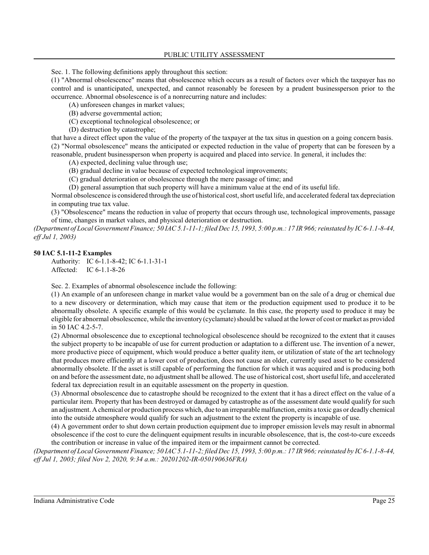Sec. 1. The following definitions apply throughout this section:

(1) "Abnormal obsolescence" means that obsolescence which occurs as a result of factors over which the taxpayer has no control and is unanticipated, unexpected, and cannot reasonably be foreseen by a prudent businessperson prior to the occurrence. Abnormal obsolescence is of a nonrecurring nature and includes:

(A) unforeseen changes in market values;

(B) adverse governmental action;

(C) exceptional technological obsolescence; or

(D) destruction by catastrophe;

that have a direct effect upon the value of the property of the taxpayer at the tax situs in question on a going concern basis. (2) "Normal obsolescence" means the anticipated or expected reduction in the value of property that can be foreseen by a reasonable, prudent businessperson when property is acquired and placed into service. In general, it includes the:

(A) expected, declining value through use;

- (B) gradual decline in value because of expected technological improvements;
- (C) gradual deterioration or obsolescence through the mere passage of time; and

(D) general assumption that such property will have a minimum value at the end of its useful life.

Normal obsolescence is considered through the use of historical cost, short useful life, and accelerated federal tax depreciation in computing true tax value.

(3) "Obsolescence" means the reduction in value of property that occurs through use, technological improvements, passage of time, changes in market values, and physical deterioration or destruction.

*(Department of Local Government Finance; 50 IAC 5.1-11-1; filed Dec 15, 1993, 5:00 p.m.: 17 IR 966;reinstated by IC 6-1.1-8-44, eff Jul 1, 2003)*

#### **50 IAC 5.1-11-2 Examples**

Authority: IC 6-1.1-8-42; IC 6-1.1-31-1 Affected: IC 6-1.1-8-26

Sec. 2. Examples of abnormal obsolescence include the following:

(1) An example of an unforeseen change in market value would be a government ban on the sale of a drug or chemical due to a new discovery or determination, which may cause that item or the production equipment used to produce it to be abnormally obsolete. A specific example of this would be cyclamate. In this case, the property used to produce it may be eligible for abnormal obsolescence, while the inventory (cyclamate) should be valued at the lower of cost or market as provided in 50 IAC 4.2-5-7.

(2) Abnormal obsolescence due to exceptional technological obsolescence should be recognized to the extent that it causes the subject property to be incapable of use for current production or adaptation to a different use. The invention of a newer, more productive piece of equipment, which would produce a better quality item, or utilization of state of the art technology that produces more efficiently at a lower cost of production, does not cause an older, currently used asset to be considered abnormally obsolete. If the asset is still capable of performing the function for which it was acquired and is producing both on and before the assessment date, no adjustment shall be allowed. The use of historical cost, short useful life, and accelerated federal tax depreciation result in an equitable assessment on the property in question.

(3) Abnormal obsolescence due to catastrophe should be recognized to the extent that it has a direct effect on the value of a particular item. Property that has been destroyed or damaged by catastrophe as of the assessment date would qualify for such an adjustment. Achemical or production process which, due to an irreparable malfunction, emits a toxic gas or deadly chemical into the outside atmosphere would qualify for such an adjustment to the extent the property is incapable of use.

(4) A government order to shut down certain production equipment due to improper emission levels may result in abnormal obsolescence if the cost to cure the delinquent equipment results in incurable obsolescence, that is, the cost-to-cure exceeds the contribution or increase in value of the impaired item or the impairment cannot be corrected.

*(Department of Local Government Finance; 50 IAC 5.1-11-2; filed Dec 15, 1993, 5:00 p.m.: 17 IR 966;reinstated by IC 6-1.1-8-44, eff Jul 1, 2003; filed Nov 2, 2020, 9:34 a.m.: 20201202-IR-050190636FRA)*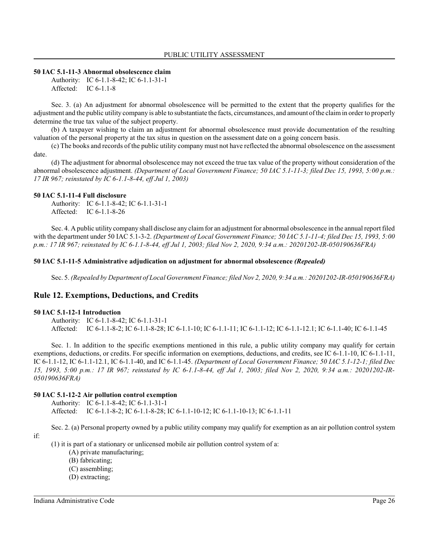## **50 IAC 5.1-11-3 Abnormal obsolescence claim**

Authority: IC 6-1.1-8-42; IC 6-1.1-31-1 Affected: IC 6-1.1-8

Sec. 3. (a) An adjustment for abnormal obsolescence will be permitted to the extent that the property qualifies for the adjustment and the public utility company is able to substantiate the facts, circumstances, and amount of the claimin order to properly determine the true tax value of the subject property.

(b) A taxpayer wishing to claim an adjustment for abnormal obsolescence must provide documentation of the resulting valuation of the personal property at the tax situs in question on the assessment date on a going concern basis.

(c) The books and records of the public utility company must not have reflected the abnormal obsolescence on the assessment date.

(d) The adjustment for abnormal obsolescence may not exceed the true tax value of the property without consideration of the abnormal obsolescence adjustment. *(Department of Local Government Finance; 50 IAC 5.1-11-3; filed Dec 15, 1993, 5:00 p.m.: 17 IR 967; reinstated by IC 6-1.1-8-44, eff Jul 1, 2003)*

### **50 IAC 5.1-11-4 Full disclosure**

Authority: IC 6-1.1-8-42; IC 6-1.1-31-1 Affected: IC 6-1.1-8-26

Sec. 4. A public utility company shall disclose any claim for an adjustment for abnormal obsolescence in the annual report filed with the department under 50 IAC 5.1-3-2. *(Department of Local Government Finance; 50 IAC 5.1-11-4; filed Dec 15, 1993, 5:00 p.m.: 17 IR 967; reinstated by IC 6-1.1-8-44, eff Jul 1, 2003; filed Nov 2, 2020, 9:34 a.m.: 20201202-IR-050190636FRA)*

#### **50 IAC 5.1-11-5 Administrative adjudication on adjustment for abnormal obsolescence** *(Repealed)*

Sec. 5. *(Repealed by Department of Local Government Finance; filed Nov 2, 2020, 9:34 a.m.: 20201202-IR-050190636FRA)*

# **Rule 12. Exemptions, Deductions, and Credits**

#### **50 IAC 5.1-12-1 Introduction**

Authority: IC 6-1.1-8-42; IC 6-1.1-31-1 Affected: IC 6-1.1-8-2; IC 6-1.1-8-28; IC 6-1.1-10; IC 6-1.1-11; IC 6-1.1-12; IC 6-1.1-12.1; IC 6-1.1-40; IC 6-1.1-45

Sec. 1. In addition to the specific exemptions mentioned in this rule, a public utility company may qualify for certain exemptions, deductions, or credits. For specific information on exemptions, deductions, and credits, see IC 6-1.1-10, IC 6-1.1-11, IC 6-1.1-12, IC 6-1.1-12.1, IC 6-1.1-40, and IC 6-1.1-45. *(Department of Local Government Finance; 50 IAC 5.1-12-1; filed Dec 15, 1993, 5:00 p.m.: 17 IR 967; reinstated by IC 6-1.1-8-44, eff Jul 1, 2003; filed Nov 2, 2020, 9:34 a.m.: 20201202-IR-050190636FRA)*

# **50 IAC 5.1-12-2 Air pollution control exemption**

Authority: IC 6-1.1-8-42; IC 6-1.1-31-1

Affected: IC 6-1.1-8-2; IC 6-1.1-8-28; IC 6-1.1-10-12; IC 6-1.1-10-13; IC 6-1.1-11

Sec. 2. (a) Personal property owned by a public utility company may qualify for exemption as an air pollution control system if:

(1) it is part of a stationary or unlicensed mobile air pollution control system of a:

- (A) private manufacturing;
- (B) fabricating;
- (C) assembling;
- (D) extracting;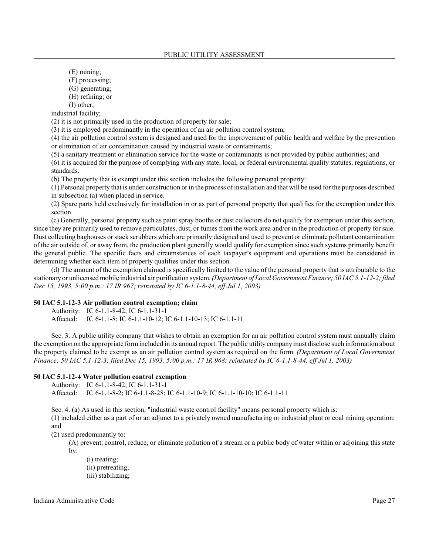(E) mining;

- (F) processing;
- (G) generating;
- (H) refining; or
- (I) other;

industrial facility;

(2) it is not primarily used in the production of property for sale;

(3) it is employed predominantly in the operation of an air pollution control system;

(4) the air pollution control system is designed and used for the improvement of public health and welfare by the prevention or elimination of air contamination caused by industrial waste or contaminants;

(5) a sanitary treatment or elimination service for the waste or contaminants is not provided by public authorities; and

(6) it is acquired for the purpose of complying with any state, local, or federal environmental quality statutes, regulations, or standards.

(b) The property that is exempt under this section includes the following personal property:

(1) Personal property that is under construction or in the process of installation and that will be used for the purposes described in subsection (a) when placed in service.

(2) Spare parts held exclusively for installation in or as part of personal property that qualifies for the exemption under this section.

(c) Generally, personal property such as paint spray booths or dust collectors do not qualify for exemption under this section, since they are primarily used to remove particulates, dust, or fumes from the work area and/or in the production of property for sale. Dust collecting baghouses or stack scrubbers which are primarily designed and used to prevent or eliminate pollutant contamination of the air outside of, or away from, the production plant generally would qualify for exemption since such systems primarily benefit the general public. The specific facts and circumstances of each taxpayer's equipment and operations must be considered in determining whether each item of property qualifies under this section.

(d) The amount of the exemption claimed is specifically limited to the value of the personal property that is attributable to the stationary or unlicensed mobile industrial air purification system. *(Department of Local Government Finance; 50 IAC 5.1-12-2; filed Dec 15, 1993, 5:00 p.m.: 17 IR 967; reinstated by IC 6-1.1-8-44, eff Jul 1, 2003)*

## **50 IAC 5.1-12-3 Air pollution control exemption; claim**

Authority: IC 6-1.1-8-42; IC 6-1.1-31-1 Affected: IC 6-1.1-8; IC 6-1.1-10-12; IC 6-1.1-10-13; IC 6-1.1-11

Sec. 3. A public utility company that wishes to obtain an exemption for an air pollution control system must annually claim the exemption on the appropriate formincluded in its annual report. The public utility companymust disclose such information about the property claimed to be exempt as an air pollution control system as required on the form. *(Department of Local Government Finance; 50 IAC 5.1-12-3; filed Dec 15, 1993, 5:00 p.m.: 17 IR 968; reinstated by IC 6-1.1-8-44, eff Jul 1, 2003)*

### **50 IAC 5.1-12-4 Water pollution control exemption**

Authority: IC 6-1.1-8-42; IC 6-1.1-31-1

Affected: IC 6-1.1-8-2; IC 6-1.1-8-28; IC 6-1.1-10-9; IC 6-1.1-10-10; IC 6-1.1-11

Sec. 4. (a) As used in this section, "industrial waste control facility" means personal property which is:

(1) included either as a part of or an adjunct to a privately owned manufacturing or industrial plant or coal mining operation; and

(2) used predominantly to:

(A) prevent, control, reduce, or eliminate pollution of a stream or a public body of water within or adjoining this state by:

(i) treating; (ii) pretreating; (iii) stabilizing;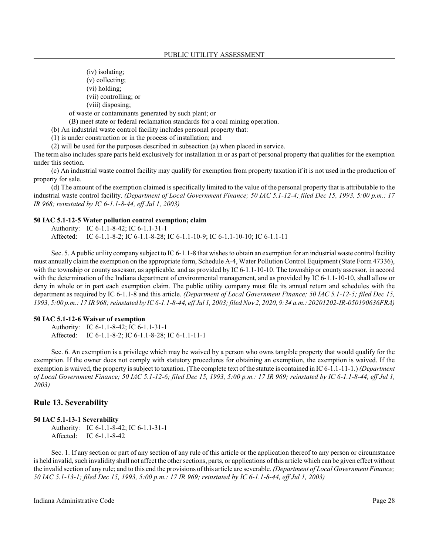(iv) isolating;

(v) collecting;

(vi) holding;

(vii) controlling; or

(viii) disposing;

of waste or contaminants generated by such plant; or

(B) meet state or federal reclamation standards for a coal mining operation.

(b) An industrial waste control facility includes personal property that:

(1) is under construction or in the process of installation; and

(2) will be used for the purposes described in subsection (a) when placed in service.

The term also includes spare parts held exclusively for installation in or as part of personal property that qualifies for the exemption under this section.

(c) An industrial waste control facility may qualify for exemption from property taxation if it is not used in the production of property for sale.

(d) The amount of the exemption claimed is specifically limited to the value of the personal property that is attributable to the industrial waste control facility. *(Department of Local Government Finance; 50 IAC 5.1-12-4; filed Dec 15, 1993, 5:00 p.m.: 17 IR 968; reinstated by IC 6-1.1-8-44, eff Jul 1, 2003)*

#### **50 IAC 5.1-12-5 Water pollution control exemption; claim**

Authority: IC 6-1.1-8-42; IC 6-1.1-31-1 Affected: IC 6-1.1-8-2; IC 6-1.1-8-28; IC 6-1.1-10-9; IC 6-1.1-10-10; IC 6-1.1-11

Sec. 5. A public utility company subject to IC 6-1.1-8 that wishes to obtain an exemption for an industrial waste control facility must annually claim the exemption on the appropriate form, Schedule A-4, Water Pollution Control Equipment (State Form 47336), with the township or county assessor, as applicable, and as provided by IC 6-1.1-10-10. The township or county assessor, in accord with the determination of the Indiana department of environmental management, and as provided by IC 6-1.1-10-10, shall allow or deny in whole or in part each exemption claim. The public utility company must file its annual return and schedules with the department as required by IC 6-1.1-8 and this article. *(Department of Local Government Finance; 50 IAC 5.1-12-5; filed Dec 15, 1993, 5:00 p.m.: 17 IR 968;reinstated by IC 6-1.1-8-44, eff Jul 1, 2003; filed Nov 2, 2020, 9:34 a.m.: 20201202-IR-050190636FRA)*

#### **50 IAC 5.1-12-6 Waiver of exemption**

Authority: IC 6-1.1-8-42; IC 6-1.1-31-1 Affected: IC 6-1.1-8-2; IC 6-1.1-8-28; IC 6-1.1-11-1

Sec. 6. An exemption is a privilege which may be waived by a person who owns tangible property that would qualify for the exemption. If the owner does not comply with statutory procedures for obtaining an exemption, the exemption is waived. If the exemption is waived, the property is subject to taxation. (The complete text of the statute is contained in IC 6-1.1-11-1.) *(Department of Local Government Finance; 50 IAC 5.1-12-6; filed Dec 15, 1993, 5:00 p.m.: 17 IR 969; reinstated by IC 6-1.1-8-44, eff Jul 1, 2003)*

### **Rule 13. Severability**

#### **50 IAC 5.1-13-1 Severability**

Authority: IC 6-1.1-8-42; IC 6-1.1-31-1 Affected: IC 6-1.1-8-42

Sec. 1. If any section or part of any section of any rule of this article or the application thereof to any person or circumstance is held invalid, such invalidity shall not affect the other sections, parts, or applications of this article which can be given effect without the invalid section of any rule; and to this end the provisions of this article are severable. *(Department of Local Government Finance; 50 IAC 5.1-13-1; filed Dec 15, 1993, 5:00 p.m.: 17 IR 969; reinstated by IC 6-1.1-8-44, eff Jul 1, 2003)*